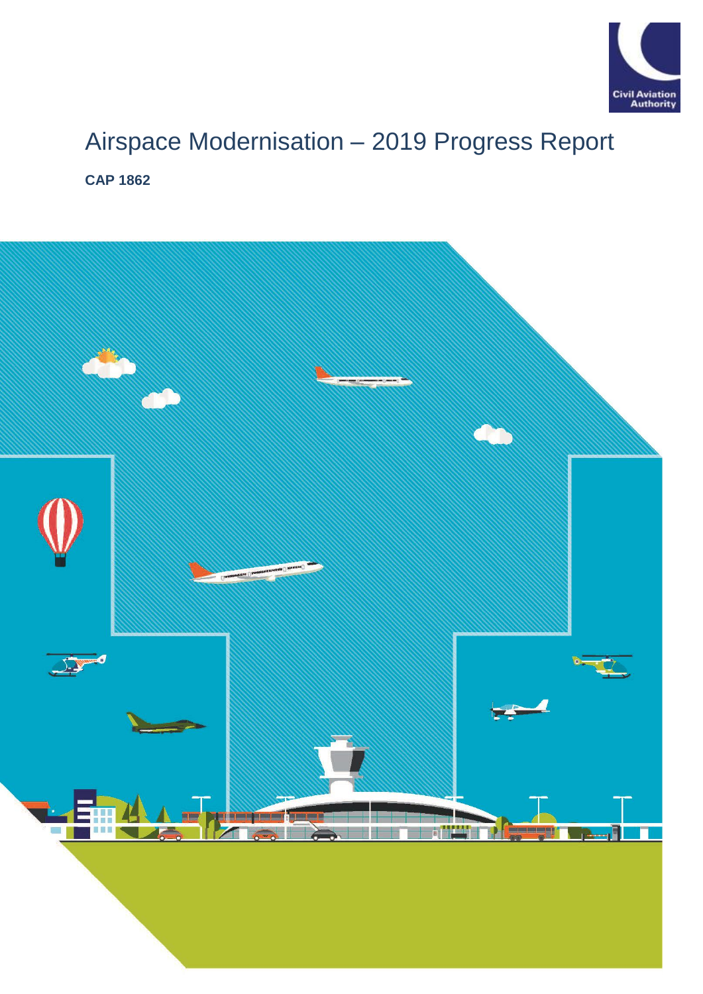

# Airspace Modernisation – 2019 Progress Report **CAP 1862**

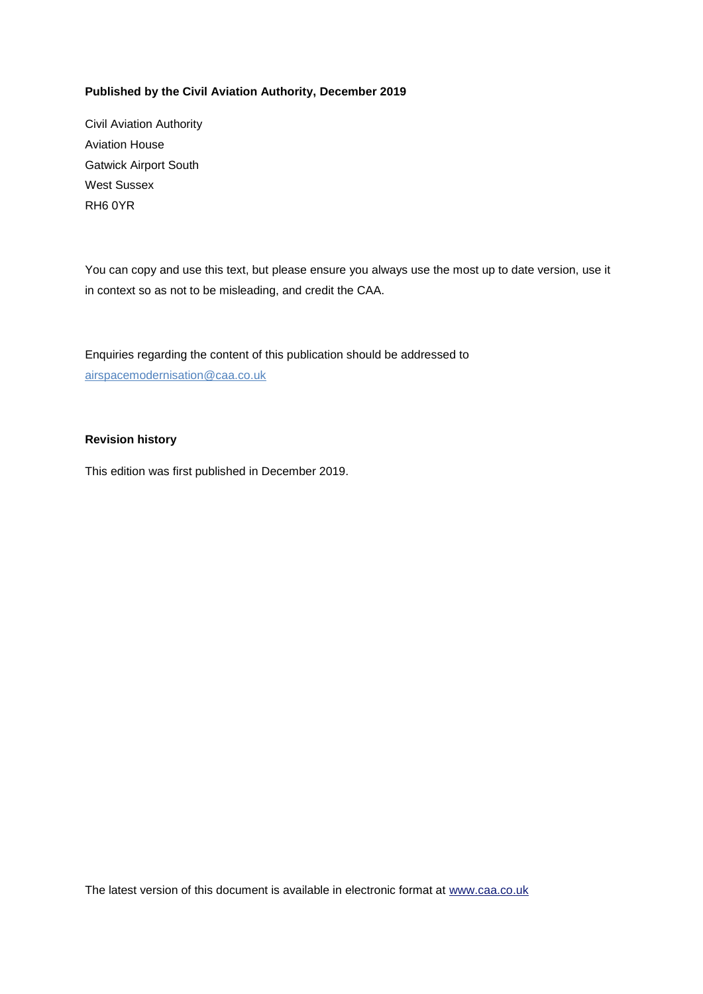### **Published by the Civil Aviation Authority, December 2019**

Civil Aviation Authority Aviation House Gatwick Airport South West Sussex RH6 0YR

You can copy and use this text, but please ensure you always use the most up to date version, use it in context so as not to be misleading, and credit the CAA.

Enquiries regarding the content of this publication should be addressed to [airspacemodernisation@caa.co.uk](mailto:airspacemodernisation@caa.co.uk)

#### **Revision history**

This edition was first published in December 2019.

The latest version of this document is available in electronic format at www.caa.co.uk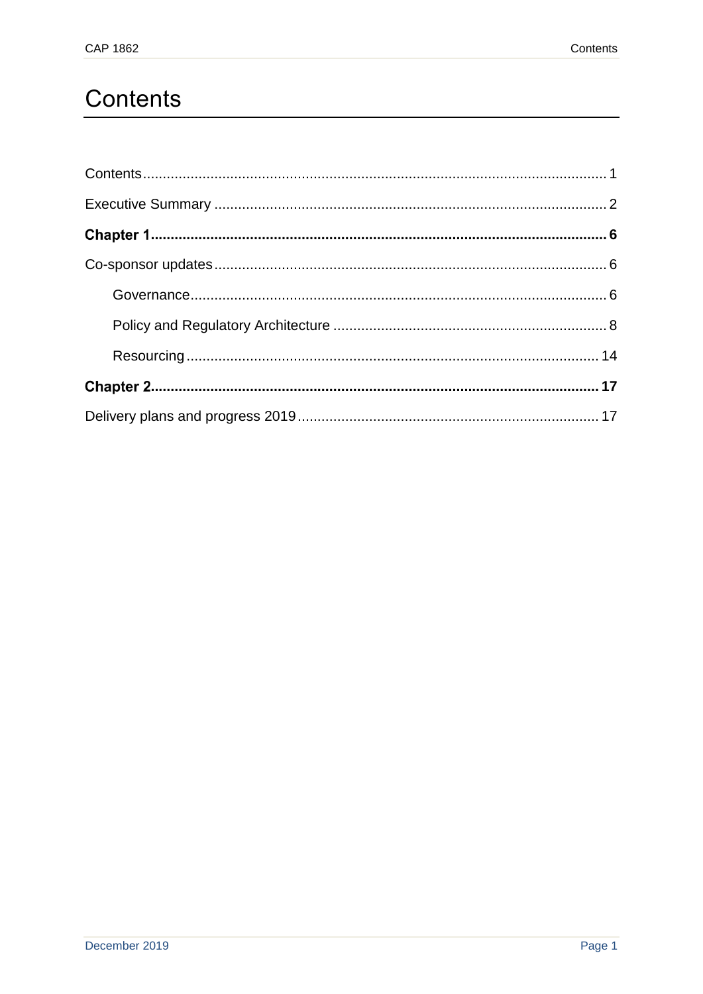# <span id="page-3-0"></span>Contents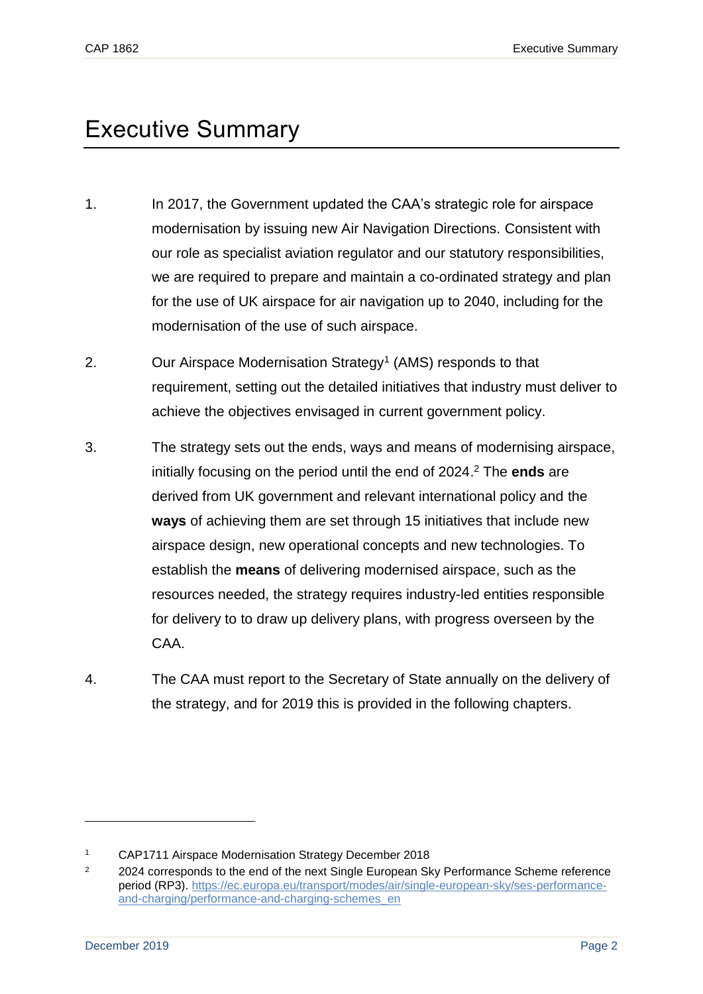# <span id="page-4-0"></span>Executive Summary

- 1. In 2017, the Government updated the CAA's strategic role for airspace modernisation by issuing new Air Navigation Directions. Consistent with our role as specialist aviation regulator and our statutory responsibilities, we are required to prepare and maintain a co-ordinated strategy and plan for the use of UK airspace for air navigation up to 2040, including for the modernisation of the use of such airspace.
- 2. Our Airspace Modernisation Strategy<sup>1</sup> (AMS) responds to that requirement, setting out the detailed initiatives that industry must deliver to achieve the objectives envisaged in current government policy.
- 3. The strategy sets out the ends, ways and means of modernising airspace, initially focusing on the period until the end of 2024. <sup>2</sup> The **ends** are derived from UK government and relevant international policy and the **ways** of achieving them are set through 15 initiatives that include new airspace design, new operational concepts and new technologies. To establish the **means** of delivering modernised airspace, such as the resources needed, the strategy requires industry-led entities responsible for delivery to to draw up delivery plans, with progress overseen by the CAA.
- 4. The CAA must report to the Secretary of State annually on the delivery of the strategy, and for 2019 this is provided in the following chapters.

<sup>1</sup> CAP1711 Airspace Modernisation Strategy December 2018

<sup>&</sup>lt;sup>2</sup> 2024 corresponds to the end of the next Single European Sky Performance Scheme reference period (RP3). [https://ec.europa.eu/transport/modes/air/single-european-sky/ses-performance](https://ec.europa.eu/transport/modes/air/single-european-sky/ses-performance-and-charging/performance-and-charging-schemes_en)[and-charging/performance-and-charging-schemes\\_en](https://ec.europa.eu/transport/modes/air/single-european-sky/ses-performance-and-charging/performance-and-charging-schemes_en)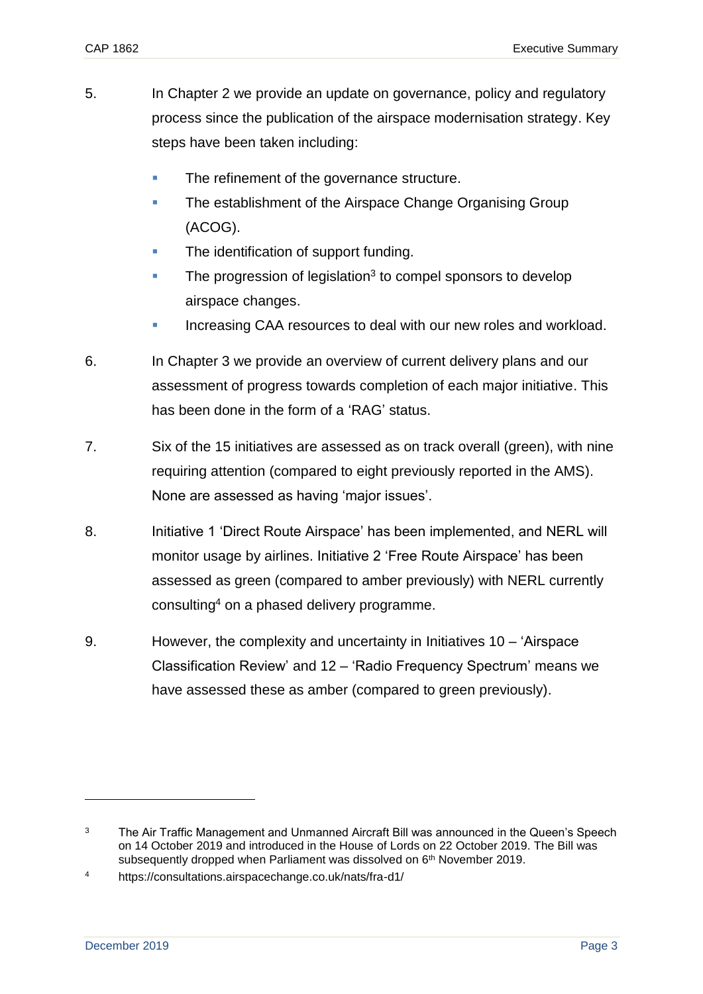- 5. In Chapter 2 we provide an update on governance, policy and regulatory process since the publication of the airspace modernisation strategy. Key steps have been taken including:
	- The refinement of the governance structure.
	- The establishment of the Airspace Change Organising Group (ACOG).
	- The identification of support funding.
	- **The progression of legislation<sup>3</sup> to compel sponsors to develop** airspace changes.
	- Increasing CAA resources to deal with our new roles and workload.
- 6. In Chapter 3 we provide an overview of current delivery plans and our assessment of progress towards completion of each major initiative. This has been done in the form of a 'RAG' status.
- 7. Six of the 15 initiatives are assessed as on track overall (green), with nine requiring attention (compared to eight previously reported in the AMS). None are assessed as having 'major issues'.
- 8. Initiative 1 'Direct Route Airspace' has been implemented, and NERL will monitor usage by airlines. Initiative 2 'Free Route Airspace' has been assessed as green (compared to amber previously) with NERL currently consulting<sup>4</sup> on a phased delivery programme.
- 9. However, the complexity and uncertainty in Initiatives 10 'Airspace Classification Review' and 12 – 'Radio Frequency Spectrum' means we have assessed these as amber (compared to green previously).

<sup>&</sup>lt;sup>3</sup> The Air Traffic Management and Unmanned Aircraft Bill was announced in the Queen's Speech on 14 October 2019 and introduced in the House of Lords on 22 October 2019. The Bill was subsequently dropped when Parliament was dissolved on 6<sup>th</sup> November 2019.

<sup>4</sup> https://consultations.airspacechange.co.uk/nats/fra-d1/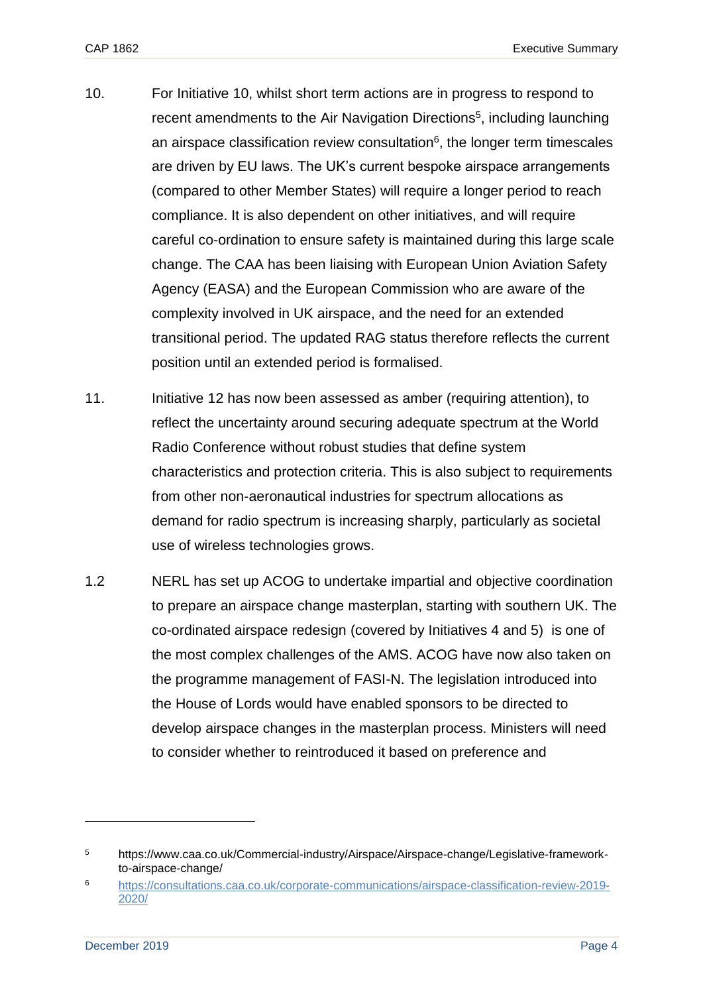- 10. For Initiative 10, whilst short term actions are in progress to respond to recent amendments to the Air Navigation Directions<sup>5</sup>, including launching an airspace classification review consultation $6$ , the longer term timescales are driven by EU laws. The UK's current bespoke airspace arrangements (compared to other Member States) will require a longer period to reach compliance. It is also dependent on other initiatives, and will require careful co-ordination to ensure safety is maintained during this large scale change. The CAA has been liaising with European Union Aviation Safety Agency (EASA) and the European Commission who are aware of the complexity involved in UK airspace, and the need for an extended transitional period. The updated RAG status therefore reflects the current position until an extended period is formalised.
- 11. Initiative 12 has now been assessed as amber (requiring attention), to reflect the uncertainty around securing adequate spectrum at the World Radio Conference without robust studies that define system characteristics and protection criteria. This is also subject to requirements from other non-aeronautical industries for spectrum allocations as demand for radio spectrum is increasing sharply, particularly as societal use of wireless technologies grows.
- 1.2 NERL has set up ACOG to undertake impartial and objective coordination to prepare an airspace change masterplan, starting with southern UK. The co-ordinated airspace redesign (covered by Initiatives 4 and 5) is one of the most complex challenges of the AMS. ACOG have now also taken on the programme management of FASI-N. The legislation introduced into the House of Lords would have enabled sponsors to be directed to develop airspace changes in the masterplan process. Ministers will need to consider whether to reintroduced it based on preference and

<sup>5</sup> https://www.caa.co.uk/Commercial-industry/Airspace/Airspace-change/Legislative-frameworkto-airspace-change/

<sup>6</sup> [https://consultations.caa.co.uk/corporate-communications/airspace-classification-review-2019-](https://consultations.caa.co.uk/corporate-communications/airspace-classification-review-2019-2020/) [2020/](https://consultations.caa.co.uk/corporate-communications/airspace-classification-review-2019-2020/)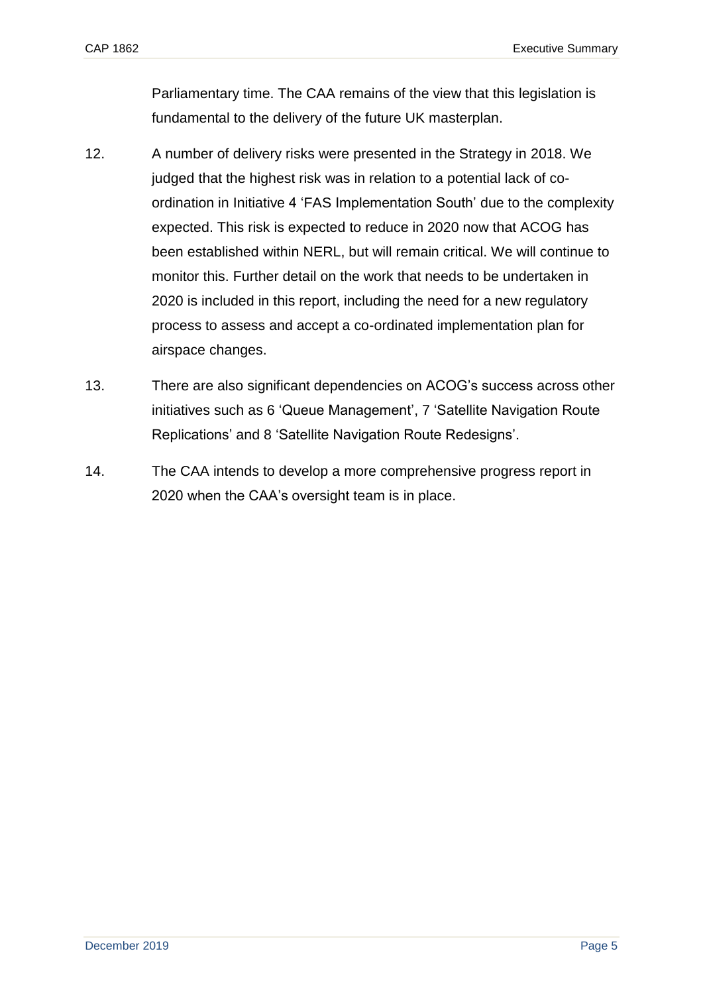Parliamentary time. The CAA remains of the view that this legislation is fundamental to the delivery of the future UK masterplan.

- 12. A number of delivery risks were presented in the Strategy in 2018. We judged that the highest risk was in relation to a potential lack of coordination in Initiative 4 'FAS Implementation South' due to the complexity expected. This risk is expected to reduce in 2020 now that ACOG has been established within NERL, but will remain critical. We will continue to monitor this. Further detail on the work that needs to be undertaken in 2020 is included in this report, including the need for a new regulatory process to assess and accept a co-ordinated implementation plan for airspace changes.
- 13. There are also significant dependencies on ACOG's success across other initiatives such as 6 'Queue Management', 7 'Satellite Navigation Route Replications' and 8 'Satellite Navigation Route Redesigns'.
- 14. The CAA intends to develop a more comprehensive progress report in 2020 when the CAA's oversight team is in place.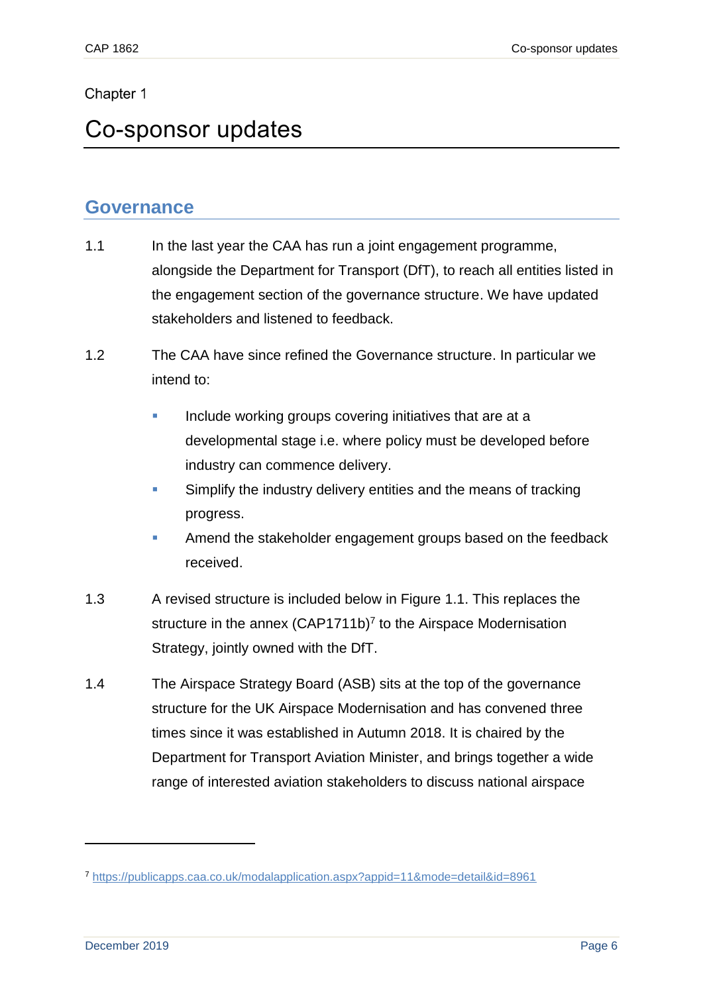### <span id="page-8-0"></span>Chapter 1

# <span id="page-8-1"></span>Co-sponsor updates

## <span id="page-8-2"></span>**Governance**

- 1.1 In the last year the CAA has run a joint engagement programme, alongside the Department for Transport (DfT), to reach all entities listed in the engagement section of the governance structure. We have updated stakeholders and listened to feedback.
- 1.2 The CAA have since refined the Governance structure. In particular we intend to:
	- **Include working groups covering initiatives that are at a** developmental stage i.e. where policy must be developed before industry can commence delivery.
	- **EXED** Simplify the industry delivery entities and the means of tracking progress.
	- **EXECT** Amend the stakeholder engagement groups based on the feedback received.
- 1.3 A revised structure is included below in Figure 1.1. This replaces the structure in the annex  $(CAP1711b)^7$  to the Airspace Modernisation Strategy, jointly owned with the DfT.
- 1.4 The Airspace Strategy Board (ASB) sits at the top of the governance structure for the UK Airspace Modernisation and has convened three times since it was established in Autumn 2018. It is chaired by the Department for Transport Aviation Minister, and brings together a wide range of interested aviation stakeholders to discuss national airspace

<sup>7</sup> <https://publicapps.caa.co.uk/modalapplication.aspx?appid=11&mode=detail&id=8961>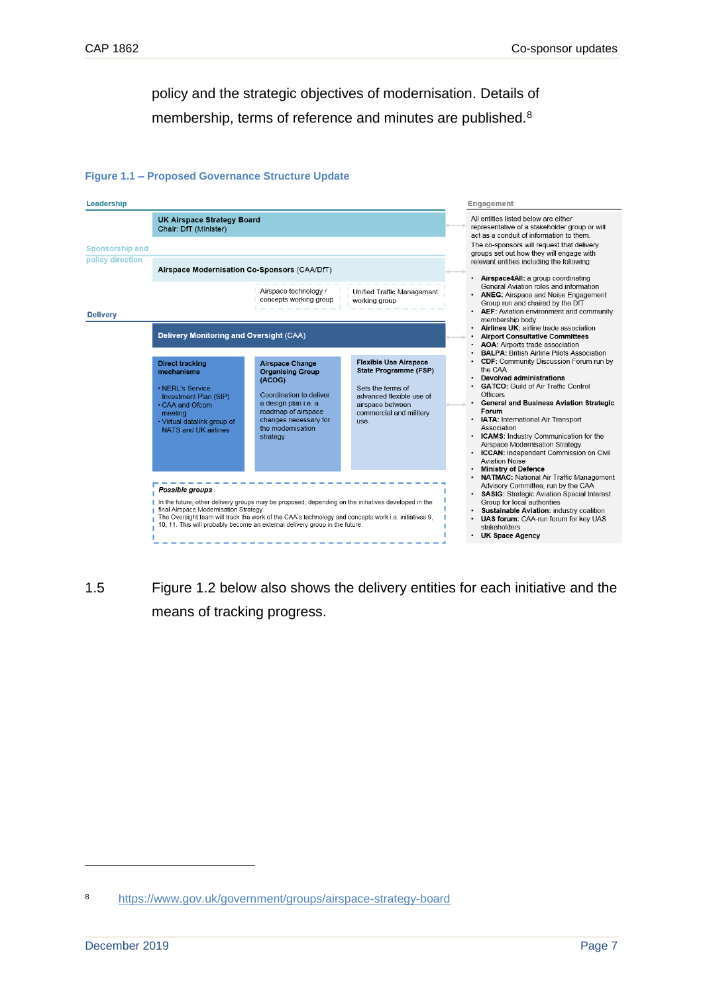policy and the strategic objectives of modernisation. Details of membership, terms of reference and minutes are published.<sup>8</sup>

#### **Figure 1.1 – Proposed Governance Structure Update**



1.5 Figure 1.2 below also shows the delivery entities for each initiative and the means of tracking progress.

<sup>8</sup> <https://www.gov.uk/government/groups/airspace-strategy-board>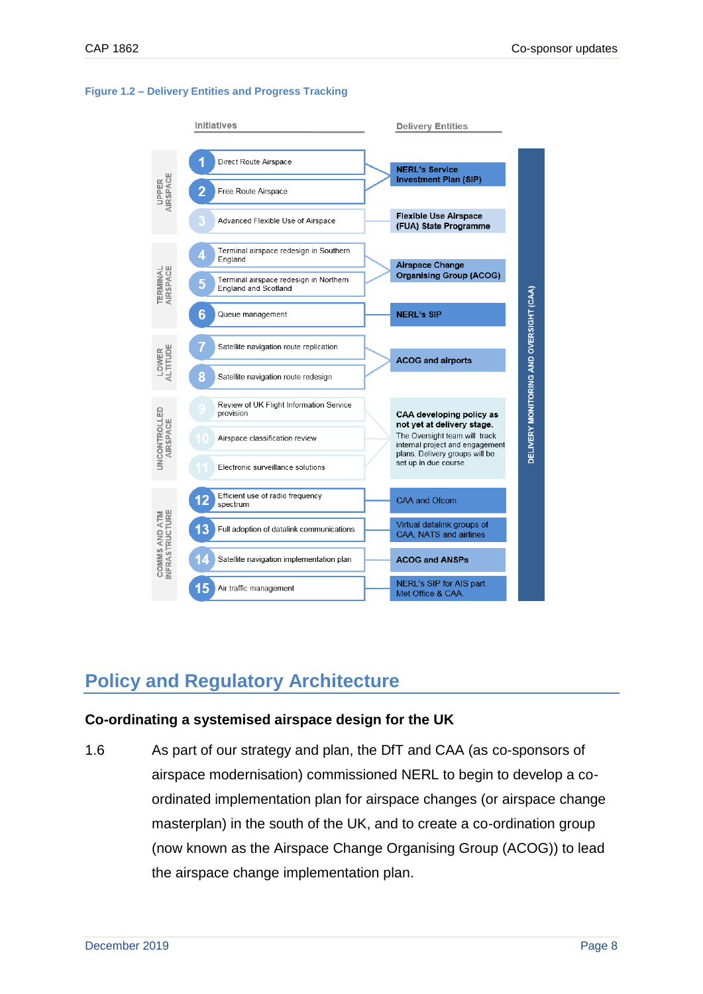

#### **Figure 1.2 – Delivery Entities and Progress Tracking**

## <span id="page-10-0"></span>**Policy and Regulatory Architecture**

### **Co-ordinating a systemised airspace design for the UK**

1.6 As part of our strategy and plan, the DfT and CAA (as co-sponsors of airspace modernisation) commissioned NERL to begin to develop a coordinated implementation plan for airspace changes (or airspace change masterplan) in the south of the UK, and to create a co-ordination group (now known as the Airspace Change Organising Group (ACOG)) to lead the airspace change implementation plan.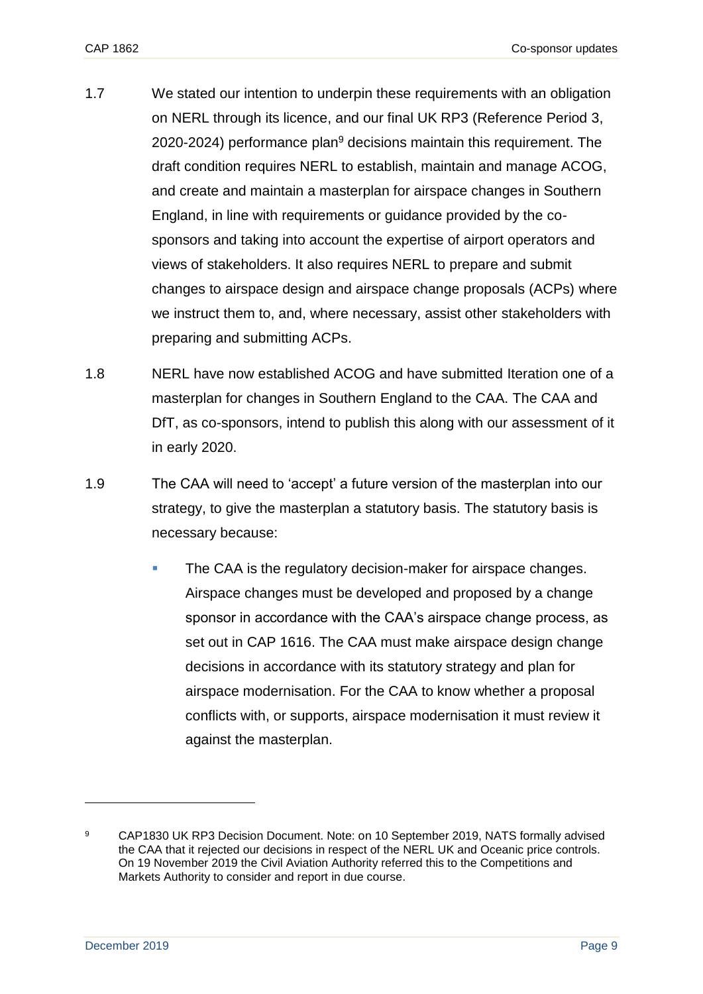- 1.7 We stated our intention to underpin these requirements with an obligation on NERL through its licence, and our final UK RP3 (Reference Period 3, 2020-2024) performance plan $9$  decisions maintain this requirement. The draft condition requires NERL to establish, maintain and manage ACOG, and create and maintain a masterplan for airspace changes in Southern England, in line with requirements or guidance provided by the cosponsors and taking into account the expertise of airport operators and views of stakeholders. It also requires NERL to prepare and submit changes to airspace design and airspace change proposals (ACPs) where we instruct them to, and, where necessary, assist other stakeholders with preparing and submitting ACPs.
- 1.8 NERL have now established ACOG and have submitted Iteration one of a masterplan for changes in Southern England to the CAA. The CAA and DfT, as co-sponsors, intend to publish this along with our assessment of it in early 2020.
- 1.9 The CAA will need to 'accept' a future version of the masterplan into our strategy, to give the masterplan a statutory basis. The statutory basis is necessary because:
	- **The CAA is the regulatory decision-maker for airspace changes.** Airspace changes must be developed and proposed by a change sponsor in accordance with the CAA's airspace change process, as set out in CAP 1616. The CAA must make airspace design change decisions in accordance with its statutory strategy and plan for airspace modernisation. For the CAA to know whether a proposal conflicts with, or supports, airspace modernisation it must review it against the masterplan.

<sup>9</sup> CAP1830 UK RP3 Decision Document. Note: on 10 September 2019, NATS formally advised the CAA that it rejected our decisions in respect of the NERL UK and Oceanic price controls. On 19 November 2019 the Civil Aviation Authority referred this to the Competitions and Markets Authority to consider and report in due course.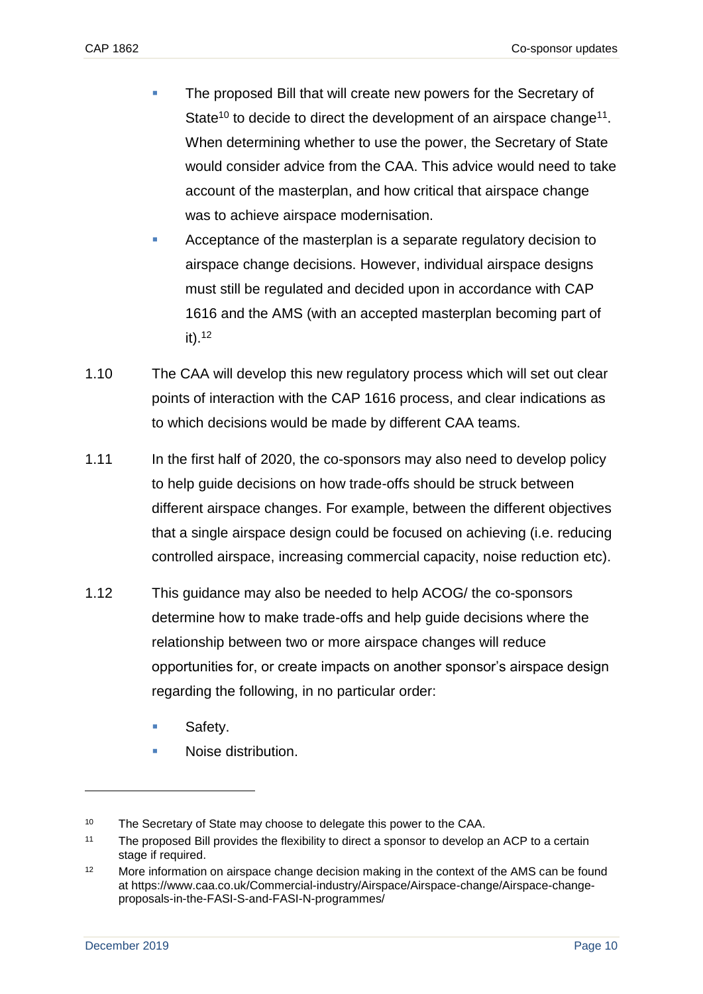- The proposed Bill that will create new powers for the Secretary of State<sup>10</sup> to decide to direct the development of an airspace change<sup>11</sup>. When determining whether to use the power, the Secretary of State would consider advice from the CAA. This advice would need to take account of the masterplan, and how critical that airspace change was to achieve airspace modernisation.
- Acceptance of the masterplan is a separate regulatory decision to airspace change decisions. However, individual airspace designs must still be regulated and decided upon in accordance with CAP 1616 and the AMS (with an accepted masterplan becoming part of it). 12
- 1.10 The CAA will develop this new regulatory process which will set out clear points of interaction with the CAP 1616 process, and clear indications as to which decisions would be made by different CAA teams.
- 1.11 In the first half of 2020, the co-sponsors may also need to develop policy to help guide decisions on how trade-offs should be struck between different airspace changes. For example, between the different objectives that a single airspace design could be focused on achieving (i.e. reducing controlled airspace, increasing commercial capacity, noise reduction etc).
- 1.12 This guidance may also be needed to help ACOG/ the co-sponsors determine how to make trade-offs and help guide decisions where the relationship between two or more airspace changes will reduce opportunities for, or create impacts on another sponsor's airspace design regarding the following, in no particular order:
	- Safety.
	- Noise distribution.

<sup>&</sup>lt;sup>10</sup> The Secretary of State may choose to delegate this power to the CAA.

<sup>11</sup> The proposed Bill provides the flexibility to direct a sponsor to develop an ACP to a certain stage if required.

<sup>&</sup>lt;sup>12</sup> More information on airspace change decision making in the context of the AMS can be found at https://www.caa.co.uk/Commercial-industry/Airspace/Airspace-change/Airspace-changeproposals-in-the-FASI-S-and-FASI-N-programmes/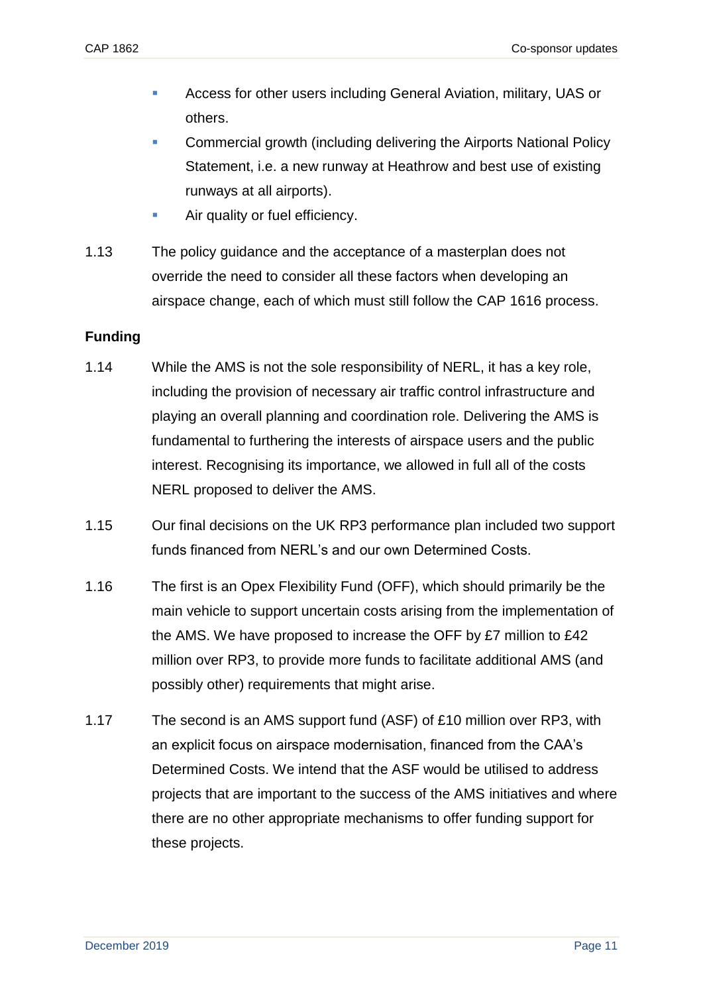- Access for other users including General Aviation, military, UAS or others.
- **Commercial growth (including delivering the Airports National Policy** Statement, i.e. a new runway at Heathrow and best use of existing runways at all airports).
- **EXECUTE:** Air quality or fuel efficiency.
- 1.13 The policy guidance and the acceptance of a masterplan does not override the need to consider all these factors when developing an airspace change, each of which must still follow the CAP 1616 process.

## **Funding**

- 1.14 While the AMS is not the sole responsibility of NERL, it has a key role, including the provision of necessary air traffic control infrastructure and playing an overall planning and coordination role. Delivering the AMS is fundamental to furthering the interests of airspace users and the public interest. Recognising its importance, we allowed in full all of the costs NERL proposed to deliver the AMS.
- 1.15 Our final decisions on the UK RP3 performance plan included two support funds financed from NERL's and our own Determined Costs.
- 1.16 The first is an Opex Flexibility Fund (OFF), which should primarily be the main vehicle to support uncertain costs arising from the implementation of the AMS. We have proposed to increase the OFF by £7 million to £42 million over RP3, to provide more funds to facilitate additional AMS (and possibly other) requirements that might arise.
- 1.17 The second is an AMS support fund (ASF) of £10 million over RP3, with an explicit focus on airspace modernisation, financed from the CAA's Determined Costs. We intend that the ASF would be utilised to address projects that are important to the success of the AMS initiatives and where there are no other appropriate mechanisms to offer funding support for these projects.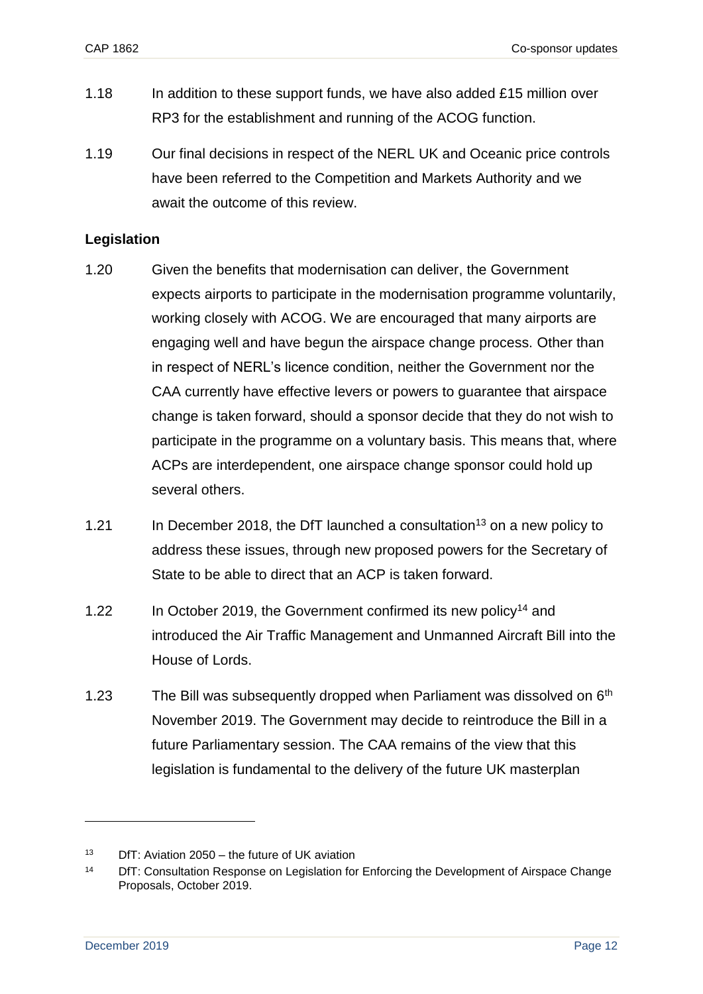- 1.18 In addition to these support funds, we have also added £15 million over RP3 for the establishment and running of the ACOG function.
- 1.19 Our final decisions in respect of the NERL UK and Oceanic price controls have been referred to the Competition and Markets Authority and we await the outcome of this review.

### **Legislation**

- 1.20 Given the benefits that modernisation can deliver, the Government expects airports to participate in the modernisation programme voluntarily, working closely with ACOG. We are encouraged that many airports are engaging well and have begun the airspace change process. Other than in respect of NERL's licence condition, neither the Government nor the CAA currently have effective levers or powers to guarantee that airspace change is taken forward, should a sponsor decide that they do not wish to participate in the programme on a voluntary basis. This means that, where ACPs are interdependent, one airspace change sponsor could hold up several others.
- 1.21 In December 2018, the DfT launched a consultation<sup>13</sup> on a new policy to address these issues, through new proposed powers for the Secretary of State to be able to direct that an ACP is taken forward.
- 1.22 In October 2019, the Government confirmed its new policy<sup>14</sup> and introduced the Air Traffic Management and Unmanned Aircraft Bill into the House of Lords.
- 1.23 The Bill was subsequently dropped when Parliament was dissolved on  $6<sup>th</sup>$ November 2019. The Government may decide to reintroduce the Bill in a future Parliamentary session. The CAA remains of the view that this legislation is fundamental to the delivery of the future UK masterplan

 $13$  DfT: Aviation 2050 – the future of UK aviation

<sup>&</sup>lt;sup>14</sup> DfT: Consultation Response on Legislation for Enforcing the Development of Airspace Change Proposals, October 2019.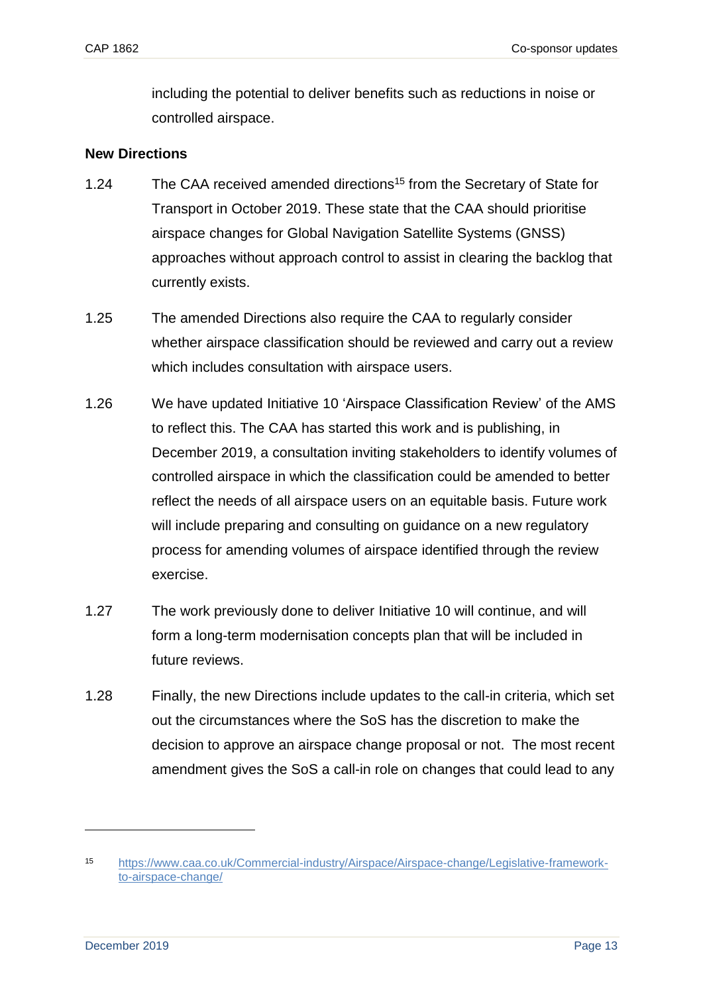including the potential to deliver benefits such as reductions in noise or controlled airspace.

### **New Directions**

- 1.24 The CAA received amended [directions](https://www.caa.co.uk/uploadedFiles/CAA/Content/Standard_Content/Commercial_industry/Airspace/Airspace_change/20191030SoSTransporttoCAAAirNavigationAmendmenttoDirections2017.pdf)<sup>15</sup> from the Secretary of State for Transport in October 2019. These state that the CAA should prioritise airspace changes for Global Navigation Satellite Systems (GNSS) approaches without approach control to assist in clearing the backlog that currently exists.
- 1.25 The amended Directions also require the CAA to regularly consider whether airspace classification should be reviewed and carry out a review which includes consultation with airspace users.
- 1.26 We have updated Initiative 10 'Airspace Classification Review' of the AMS to reflect this. The CAA has started this work and is publishing, in December 2019, a consultation inviting stakeholders to identify volumes of controlled airspace in which the classification could be amended to better reflect the needs of all airspace users on an equitable basis. Future work will include preparing and consulting on guidance on a new regulatory process for amending volumes of airspace identified through the review exercise.
- 1.27 The work previously done to deliver Initiative 10 will continue, and will form a long-term modernisation concepts plan that will be included in future reviews.
- 1.28 Finally, the new Directions include updates to the call-in criteria, which set out the circumstances where the SoS has the discretion to make the decision to approve an airspace change proposal or not. The most recent amendment gives the SoS a call-in role on changes that could lead to any

<sup>15</sup> [https://www.caa.co.uk/Commercial-industry/Airspace/Airspace-change/Legislative-framework](https://www.caa.co.uk/Commercial-industry/Airspace/Airspace-change/Legislative-framework-to-airspace-change/)[to-airspace-change/](https://www.caa.co.uk/Commercial-industry/Airspace/Airspace-change/Legislative-framework-to-airspace-change/)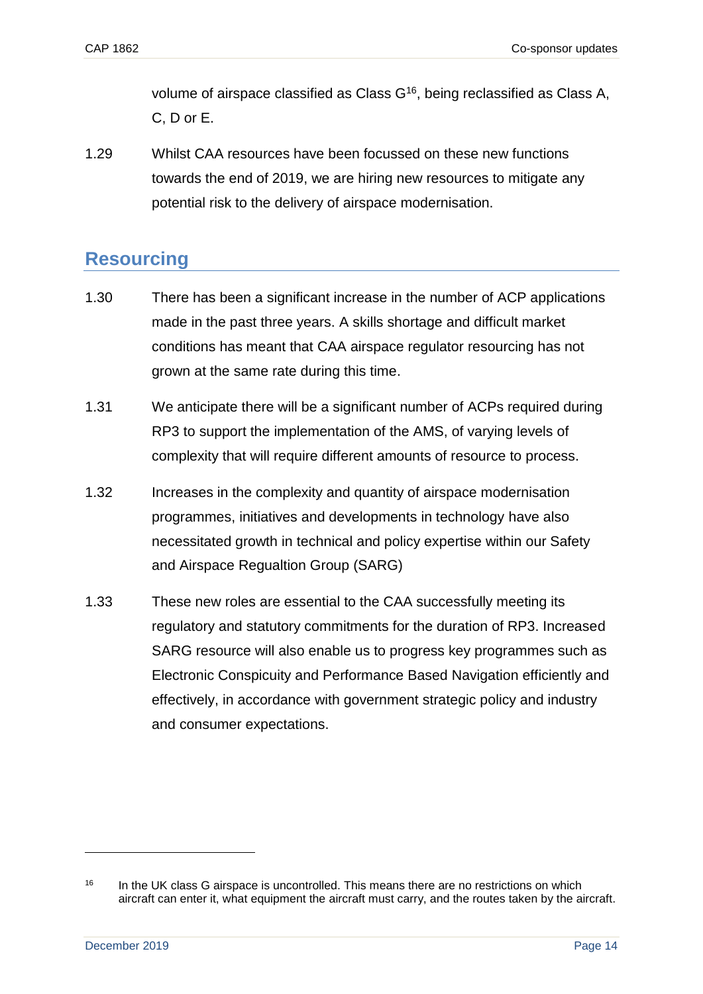volume of airspace classified as Class G<sup>16</sup>, being reclassified as Class A, C, D or E.

1.29 Whilst CAA resources have been focussed on these new functions towards the end of 2019, we are hiring new resources to mitigate any potential risk to the delivery of airspace modernisation.

## <span id="page-16-0"></span>**Resourcing**

- 1.30 There has been a significant increase in the number of ACP applications made in the past three years. A skills shortage and difficult market conditions has meant that CAA airspace regulator resourcing has not grown at the same rate during this time.
- 1.31 We anticipate there will be a significant number of ACPs required during RP3 to support the implementation of the AMS, of varying levels of complexity that will require different amounts of resource to process.
- 1.32 Increases in the complexity and quantity of airspace modernisation programmes, initiatives and developments in technology have also necessitated growth in technical and policy expertise within our Safety and Airspace Regualtion Group (SARG)
- 1.33 These new roles are essential to the CAA successfully meeting its regulatory and statutory commitments for the duration of RP3. Increased SARG resource will also enable us to progress key programmes such as Electronic Conspicuity and Performance Based Navigation efficiently and effectively, in accordance with government strategic policy and industry and consumer expectations.

<sup>&</sup>lt;sup>16</sup> In the UK class G airspace is uncontrolled. This means there are no restrictions on which aircraft can enter it, what equipment the aircraft must carry, and the routes taken by the aircraft.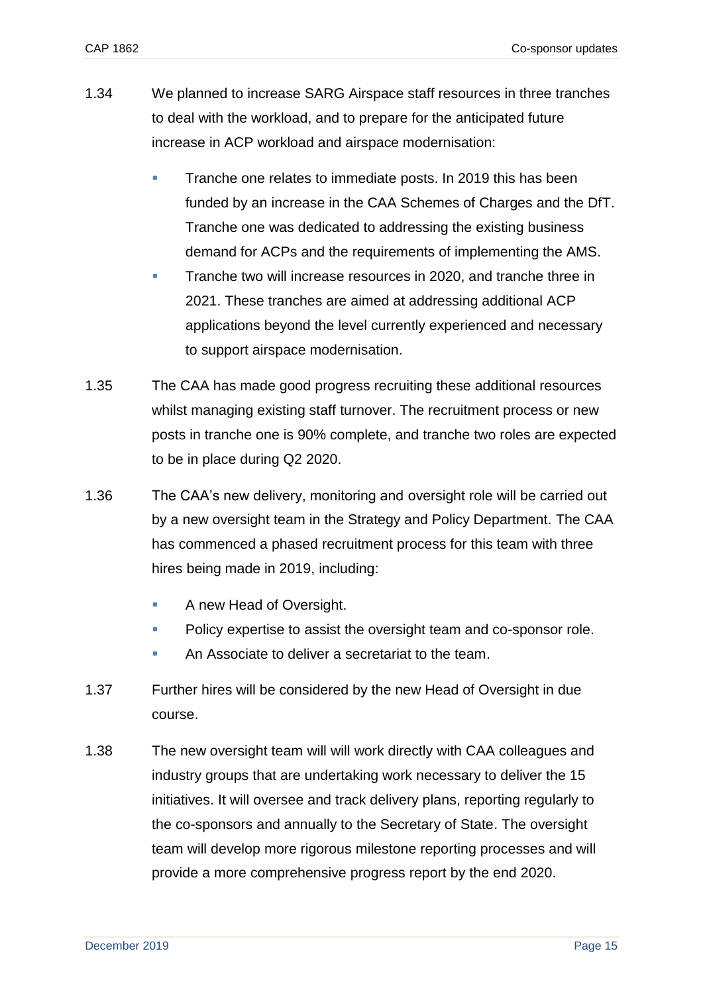- 1.34 We planned to increase SARG Airspace staff resources in three tranches to deal with the workload, and to prepare for the anticipated future increase in ACP workload and airspace modernisation:
	- Tranche one relates to immediate posts. In 2019 this has been funded by an increase in the CAA Schemes of Charges and the DfT. Tranche one was dedicated to addressing the existing business demand for ACPs and the requirements of implementing the AMS.
	- **EXECUTE:** Tranche two will increase resources in 2020, and tranche three in 2021. These tranches are aimed at addressing additional ACP applications beyond the level currently experienced and necessary to support airspace modernisation.
- 1.35 The CAA has made good progress recruiting these additional resources whilst managing existing staff turnover. The recruitment process or new posts in tranche one is 90% complete, and tranche two roles are expected to be in place during Q2 2020.
- 1.36 The CAA's new delivery, monitoring and oversight role will be carried out by a new oversight team in the Strategy and Policy Department. The CAA has commenced a phased recruitment process for this team with three hires being made in 2019, including:
	- A new Head of Oversight.
	- Policy expertise to assist the oversight team and co-sponsor role.
	- An Associate to deliver a secretariat to the team.
- 1.37 Further hires will be considered by the new Head of Oversight in due course.
- 1.38 The new oversight team will will work directly with CAA colleagues and industry groups that are undertaking work necessary to deliver the 15 initiatives. It will oversee and track delivery plans, reporting regularly to the co-sponsors and annually to the Secretary of State. The oversight team will develop more rigorous milestone reporting processes and will provide a more comprehensive progress report by the end 2020.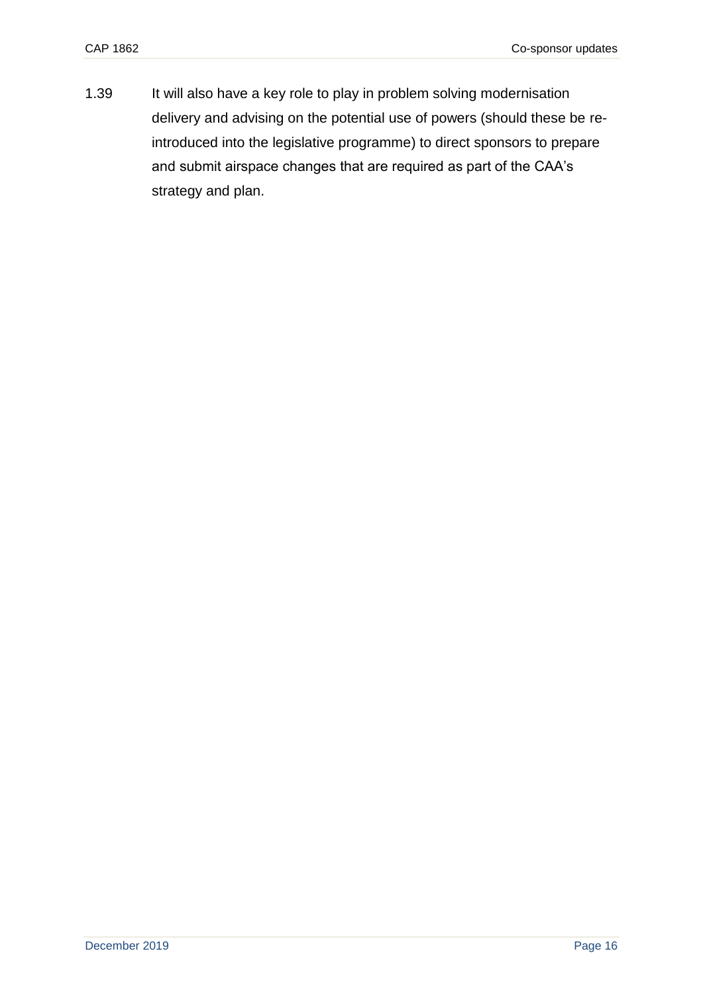1.39 It will also have a key role to play in problem solving modernisation delivery and advising on the potential use of powers (should these be reintroduced into the legislative programme) to direct sponsors to prepare and submit airspace changes that are required as part of the CAA's strategy and plan.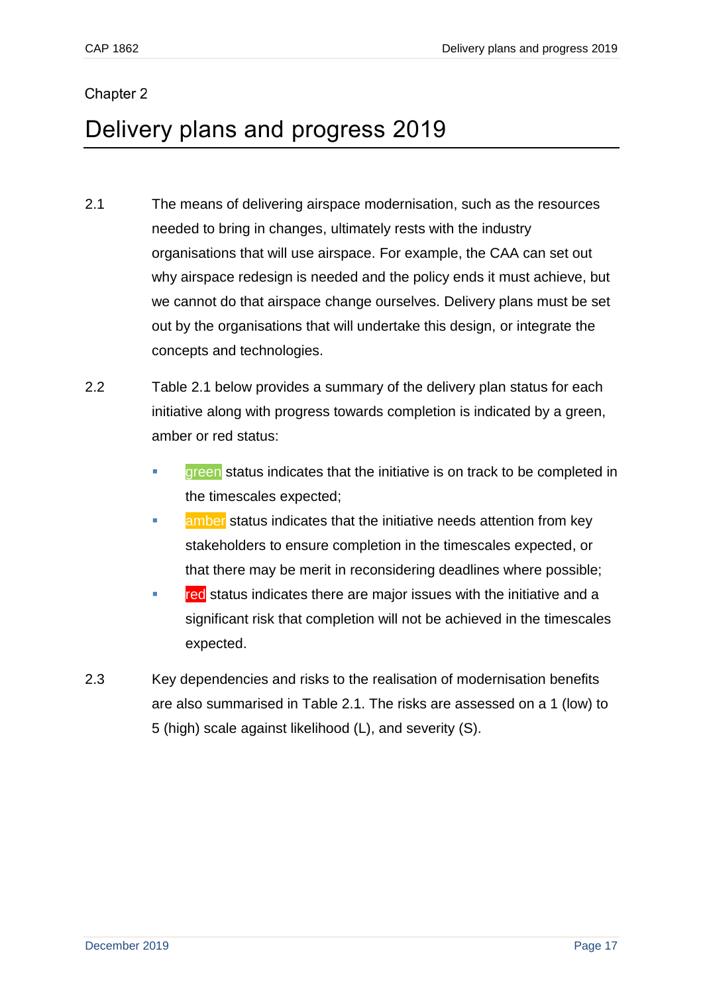## <span id="page-19-0"></span>Chapter 2

# <span id="page-19-1"></span>Delivery plans and progress 2019

- 2.1 The means of delivering airspace modernisation, such as the resources needed to bring in changes, ultimately rests with the industry organisations that will use airspace. For example, the CAA can set out why airspace redesign is needed and the policy ends it must achieve, but we cannot do that airspace change ourselves. Delivery plans must be set out by the organisations that will undertake this design, or integrate the concepts and technologies.
- 2.2 Table 2.1 below provides a summary of the delivery plan status for each initiative along with progress towards completion is indicated by a green, amber or red status:
	- **EXECTE FIGHT** status indicates that the initiative is on track to be completed in the timescales expected;
	- **EXECT** amber status indicates that the initiative needs attention from key stakeholders to ensure completion in the timescales expected, or that there may be merit in reconsidering deadlines where possible;
	- **EXEC** status indicates there are major issues with the initiative and a significant risk that completion will not be achieved in the timescales expected.
- 2.3 Key dependencies and risks to the realisation of modernisation benefits are also summarised in Table 2.1. The risks are assessed on a 1 (low) to 5 (high) scale against likelihood (L), and severity (S).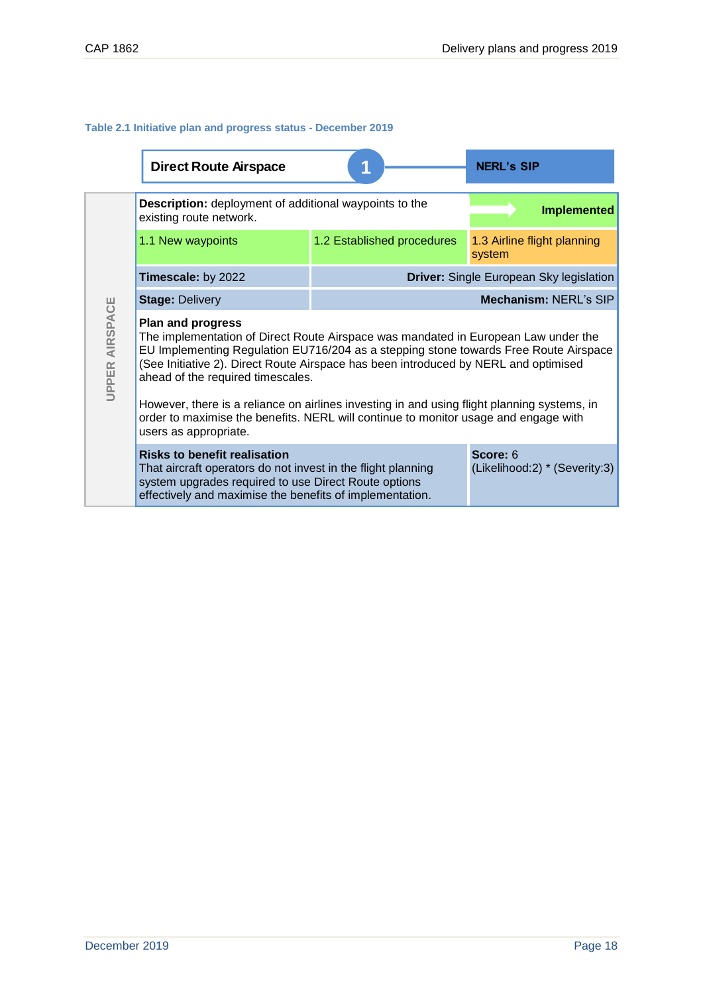### **Table 2.1 Initiative plan and progress status - December 2019**

|                          | <b>Direct Route Airspace</b>                                                                                                                                                                                                                                                                                                                                                                                                                                                                                                                      |                            | <b>NERL's SIP</b>                              |
|--------------------------|---------------------------------------------------------------------------------------------------------------------------------------------------------------------------------------------------------------------------------------------------------------------------------------------------------------------------------------------------------------------------------------------------------------------------------------------------------------------------------------------------------------------------------------------------|----------------------------|------------------------------------------------|
|                          | <b>Description:</b> deployment of additional waypoints to the<br>existing route network.                                                                                                                                                                                                                                                                                                                                                                                                                                                          |                            | <b>Implemented</b>                             |
|                          | 1.1 New waypoints                                                                                                                                                                                                                                                                                                                                                                                                                                                                                                                                 | 1.2 Established procedures | 1.3 Airline flight planning<br>system          |
|                          | Timescale: by 2022                                                                                                                                                                                                                                                                                                                                                                                                                                                                                                                                |                            | <b>Driver:</b> Single European Sky legislation |
|                          | <b>Stage: Delivery</b>                                                                                                                                                                                                                                                                                                                                                                                                                                                                                                                            |                            | Mechanism: NERL's SIP                          |
| AIRSPACE<br><b>UPPER</b> | <b>Plan and progress</b><br>The implementation of Direct Route Airspace was mandated in European Law under the<br>EU Implementing Regulation EU716/204 as a stepping stone towards Free Route Airspace<br>(See Initiative 2). Direct Route Airspace has been introduced by NERL and optimised<br>ahead of the required timescales.<br>However, there is a reliance on airlines investing in and using flight planning systems, in<br>order to maximise the benefits. NERL will continue to monitor usage and engage with<br>users as appropriate. |                            |                                                |
|                          | <b>Risks to benefit realisation</b><br>That aircraft operators do not invest in the flight planning<br>system upgrades required to use Direct Route options<br>effectively and maximise the benefits of implementation.                                                                                                                                                                                                                                                                                                                           |                            | Score: 6<br>(Likelihood:2) * (Severity:3)      |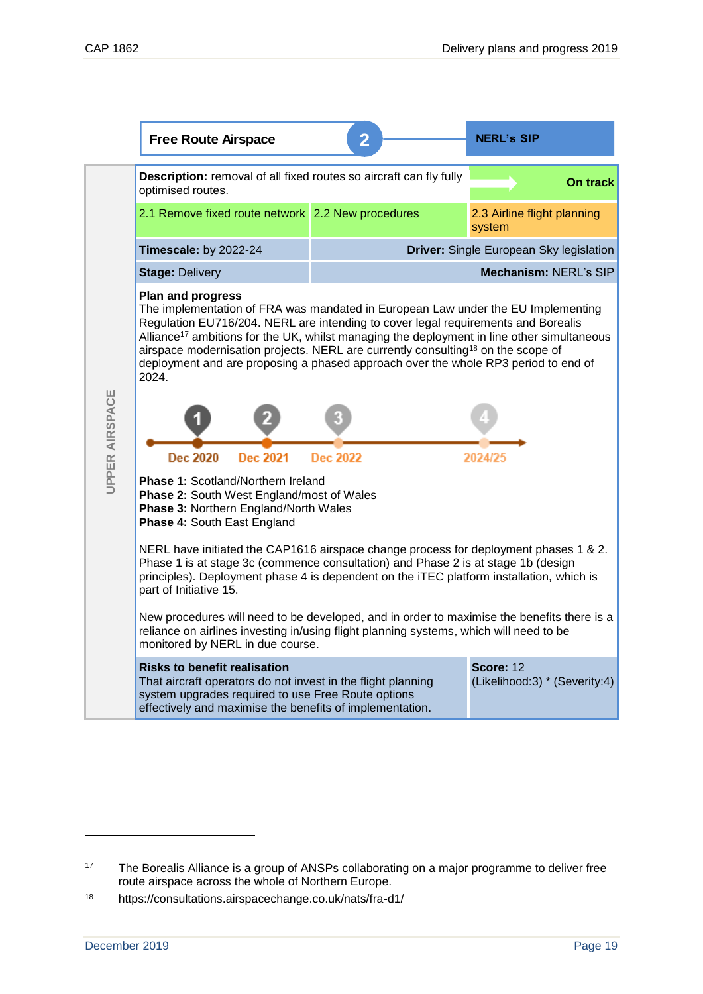|                                                                                                                                                                              | <b>Free Route Airspace</b>                                                                                                                                                                                                                                                                                                                                                                                                                                                                                 | 2               | <b>NERL's SIP</b>                          |  |  |
|------------------------------------------------------------------------------------------------------------------------------------------------------------------------------|------------------------------------------------------------------------------------------------------------------------------------------------------------------------------------------------------------------------------------------------------------------------------------------------------------------------------------------------------------------------------------------------------------------------------------------------------------------------------------------------------------|-----------------|--------------------------------------------|--|--|
|                                                                                                                                                                              | Description: removal of all fixed routes so aircraft can fly fully<br>optimised routes.                                                                                                                                                                                                                                                                                                                                                                                                                    |                 | On track                                   |  |  |
|                                                                                                                                                                              | 2.1 Remove fixed route network 2.2 New procedures                                                                                                                                                                                                                                                                                                                                                                                                                                                          |                 | 2.3 Airline flight planning<br>system      |  |  |
|                                                                                                                                                                              | Timescale: by 2022-24                                                                                                                                                                                                                                                                                                                                                                                                                                                                                      |                 | Driver: Single European Sky legislation    |  |  |
|                                                                                                                                                                              | <b>Stage: Delivery</b>                                                                                                                                                                                                                                                                                                                                                                                                                                                                                     |                 | Mechanism: NERL's SIP                      |  |  |
|                                                                                                                                                                              | <b>Plan and progress</b><br>The implementation of FRA was mandated in European Law under the EU Implementing<br>Regulation EU716/204. NERL are intending to cover legal requirements and Borealis<br>Alliance <sup>17</sup> ambitions for the UK, whilst managing the deployment in line other simultaneous<br>airspace modernisation projects. NERL are currently consulting <sup>18</sup> on the scope of<br>deployment and are proposing a phased approach over the whole RP3 period to end of<br>2024. |                 |                                            |  |  |
| UPPER AIRSPACE                                                                                                                                                               |                                                                                                                                                                                                                                                                                                                                                                                                                                                                                                            |                 |                                            |  |  |
|                                                                                                                                                                              | <b>Dec 2020</b><br><b>Dec 2021</b>                                                                                                                                                                                                                                                                                                                                                                                                                                                                         | <b>Dec 2022</b> | 2024/25                                    |  |  |
| <b>Phase 1: Scotland/Northern Ireland</b><br><b>Phase 2: South West England/most of Wales</b><br><b>Phase 3: Northern England/North Wales</b><br>Phase 4: South East England |                                                                                                                                                                                                                                                                                                                                                                                                                                                                                                            |                 |                                            |  |  |
|                                                                                                                                                                              | NERL have initiated the CAP1616 airspace change process for deployment phases 1 & 2.<br>Phase 1 is at stage 3c (commence consultation) and Phase 2 is at stage 1b (design<br>principles). Deployment phase 4 is dependent on the iTEC platform installation, which is<br>part of Initiative 15.                                                                                                                                                                                                            |                 |                                            |  |  |
|                                                                                                                                                                              | New procedures will need to be developed, and in order to maximise the benefits there is a<br>reliance on airlines investing in/using flight planning systems, which will need to be<br>monitored by NERL in due course.                                                                                                                                                                                                                                                                                   |                 |                                            |  |  |
|                                                                                                                                                                              | <b>Risks to benefit realisation</b><br>That aircraft operators do not invest in the flight planning<br>system upgrades required to use Free Route options<br>effectively and maximise the benefits of implementation.                                                                                                                                                                                                                                                                                      |                 | Score: 12<br>(Likelihood:3) * (Severity:4) |  |  |
|                                                                                                                                                                              |                                                                                                                                                                                                                                                                                                                                                                                                                                                                                                            |                 |                                            |  |  |
| 17<br>18                                                                                                                                                                     | The Borealis Alliance is a group of ANSPs collaborating on a major programme to deliver free<br>route airspace across the whole of Northern Europe.<br>https://consultations.airspacechange.co.uk/nats/fra-d1/                                                                                                                                                                                                                                                                                             |                 |                                            |  |  |
|                                                                                                                                                                              |                                                                                                                                                                                                                                                                                                                                                                                                                                                                                                            |                 |                                            |  |  |
| December 2019                                                                                                                                                                |                                                                                                                                                                                                                                                                                                                                                                                                                                                                                                            |                 | Page 19                                    |  |  |

<sup>&</sup>lt;sup>17</sup> The Borealis Alliance is a group of ANSPs collaborating on a major programme to deliver free route airspace across the whole of Northern Europe.

<sup>18</sup> https://consultations.airspacechange.co.uk/nats/fra-d1/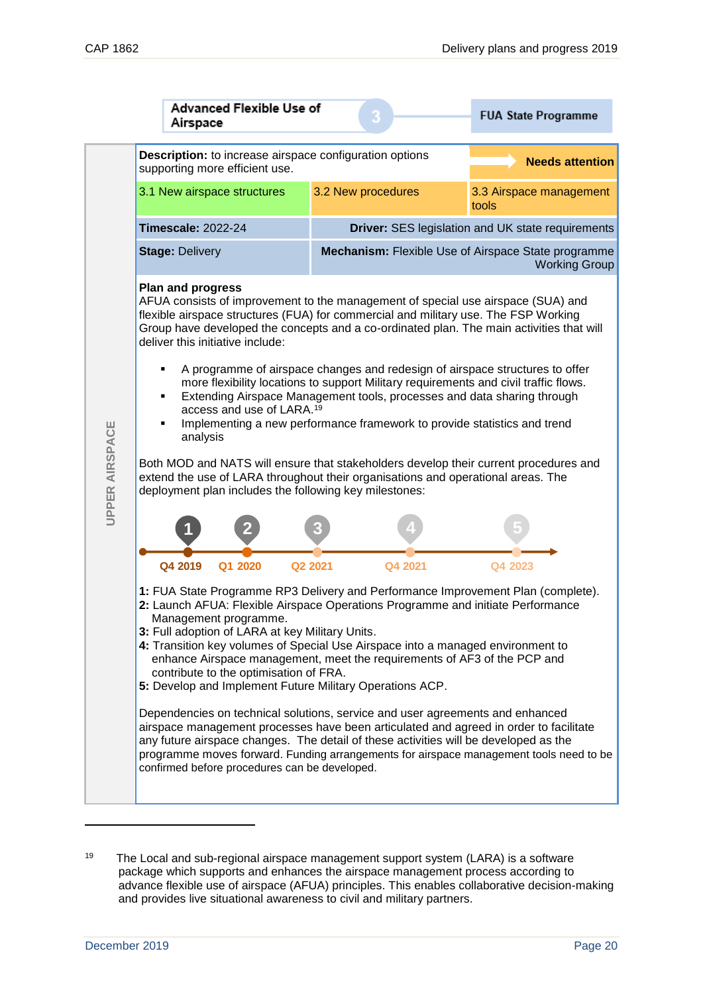|    |                       |                                                                                                                                                                                                                                                                                                                                                                                                                                                                                                                                                                                                                                                                                                                                                                                                                                                                                                                                                                                                      | Airspace                    | <b>Advanced Flexible Use of</b>  |  |                                                                |                                                                         |                                                          | <b>FUA State Programme</b>                                                                                                                                                                                                                                               |         |
|----|-----------------------|------------------------------------------------------------------------------------------------------------------------------------------------------------------------------------------------------------------------------------------------------------------------------------------------------------------------------------------------------------------------------------------------------------------------------------------------------------------------------------------------------------------------------------------------------------------------------------------------------------------------------------------------------------------------------------------------------------------------------------------------------------------------------------------------------------------------------------------------------------------------------------------------------------------------------------------------------------------------------------------------------|-----------------------------|----------------------------------|--|----------------------------------------------------------------|-------------------------------------------------------------------------|----------------------------------------------------------|--------------------------------------------------------------------------------------------------------------------------------------------------------------------------------------------------------------------------------------------------------------------------|---------|
|    |                       |                                                                                                                                                                                                                                                                                                                                                                                                                                                                                                                                                                                                                                                                                                                                                                                                                                                                                                                                                                                                      |                             | supporting more efficient use.   |  | <b>Description:</b> to increase airspace configuration options |                                                                         | <b>Needs attention</b>                                   |                                                                                                                                                                                                                                                                          |         |
|    |                       |                                                                                                                                                                                                                                                                                                                                                                                                                                                                                                                                                                                                                                                                                                                                                                                                                                                                                                                                                                                                      | 3.1 New airspace structures |                                  |  | 3.2 New procedures                                             |                                                                         | 3.3 Airspace management<br>tools                         |                                                                                                                                                                                                                                                                          |         |
|    |                       | <b>Timescale: 2022-24</b>                                                                                                                                                                                                                                                                                                                                                                                                                                                                                                                                                                                                                                                                                                                                                                                                                                                                                                                                                                            |                             |                                  |  |                                                                |                                                                         | <b>Driver:</b> SES legislation and UK state requirements |                                                                                                                                                                                                                                                                          |         |
|    |                       |                                                                                                                                                                                                                                                                                                                                                                                                                                                                                                                                                                                                                                                                                                                                                                                                                                                                                                                                                                                                      | <b>Stage: Delivery</b>      |                                  |  |                                                                |                                                                         |                                                          | Mechanism: Flexible Use of Airspace State programme<br><b>Working Group</b>                                                                                                                                                                                              |         |
|    |                       |                                                                                                                                                                                                                                                                                                                                                                                                                                                                                                                                                                                                                                                                                                                                                                                                                                                                                                                                                                                                      | <b>Plan and progress</b>    | deliver this initiative include: |  |                                                                |                                                                         |                                                          | AFUA consists of improvement to the management of special use airspace (SUA) and<br>flexible airspace structures (FUA) for commercial and military use. The FSP Working<br>Group have developed the concepts and a co-ordinated plan. The main activities that will      |         |
|    |                       | A programme of airspace changes and redesign of airspace structures to offer<br>more flexibility locations to support Military requirements and civil traffic flows.<br>Extending Airspace Management tools, processes and data sharing through<br>٠<br>access and use of LARA. <sup>19</sup><br>Implementing a new performance framework to provide statistics and trend<br>٠<br>analysis                                                                                                                                                                                                                                                                                                                                                                                                                                                                                                                                                                                                           |                             |                                  |  |                                                                |                                                                         |                                                          |                                                                                                                                                                                                                                                                          |         |
|    | <b>UPPER AIRSPACE</b> | Both MOD and NATS will ensure that stakeholders develop their current procedures and<br>extend the use of LARA throughout their organisations and operational areas. The<br>deployment plan includes the following key milestones:                                                                                                                                                                                                                                                                                                                                                                                                                                                                                                                                                                                                                                                                                                                                                                   |                             |                                  |  |                                                                |                                                                         |                                                          |                                                                                                                                                                                                                                                                          |         |
|    |                       |                                                                                                                                                                                                                                                                                                                                                                                                                                                                                                                                                                                                                                                                                                                                                                                                                                                                                                                                                                                                      |                             |                                  |  |                                                                |                                                                         |                                                          |                                                                                                                                                                                                                                                                          |         |
|    |                       | Q4 2019<br>Q1 2020<br>Q <sub>2</sub> 2021<br>Q4 2021<br>Q4 2023<br>1: FUA State Programme RP3 Delivery and Performance Improvement Plan (complete).<br>2: Launch AFUA: Flexible Airspace Operations Programme and initiate Performance<br>Management programme.<br>3: Full adoption of LARA at key Military Units.<br>4: Transition key volumes of Special Use Airspace into a managed environment to<br>enhance Airspace management, meet the requirements of AF3 of the PCP and<br>contribute to the optimisation of FRA.<br>5: Develop and Implement Future Military Operations ACP.<br>Dependencies on technical solutions, service and user agreements and enhanced<br>airspace management processes have been articulated and agreed in order to facilitate<br>any future airspace changes. The detail of these activities will be developed as the<br>programme moves forward. Funding arrangements for airspace management tools need to be<br>confirmed before procedures can be developed. |                             |                                  |  |                                                                |                                                                         |                                                          |                                                                                                                                                                                                                                                                          |         |
| 19 |                       |                                                                                                                                                                                                                                                                                                                                                                                                                                                                                                                                                                                                                                                                                                                                                                                                                                                                                                                                                                                                      |                             |                                  |  |                                                                | and provides live situational awareness to civil and military partners. |                                                          | The Local and sub-regional airspace management support system (LARA) is a software<br>package which supports and enhances the airspace management process according to<br>advance flexible use of airspace (AFUA) principles. This enables collaborative decision-making |         |
|    | December 2019         |                                                                                                                                                                                                                                                                                                                                                                                                                                                                                                                                                                                                                                                                                                                                                                                                                                                                                                                                                                                                      |                             |                                  |  |                                                                |                                                                         |                                                          |                                                                                                                                                                                                                                                                          | Page 20 |

<sup>19</sup> The Local and sub-regional airspace management support system (LARA) is a software package which supports and enhances the airspace management process according to advance flexible use of airspace (AFUA) principles. This enables collaborative decision-making and provides live situational awareness to civil and military partners.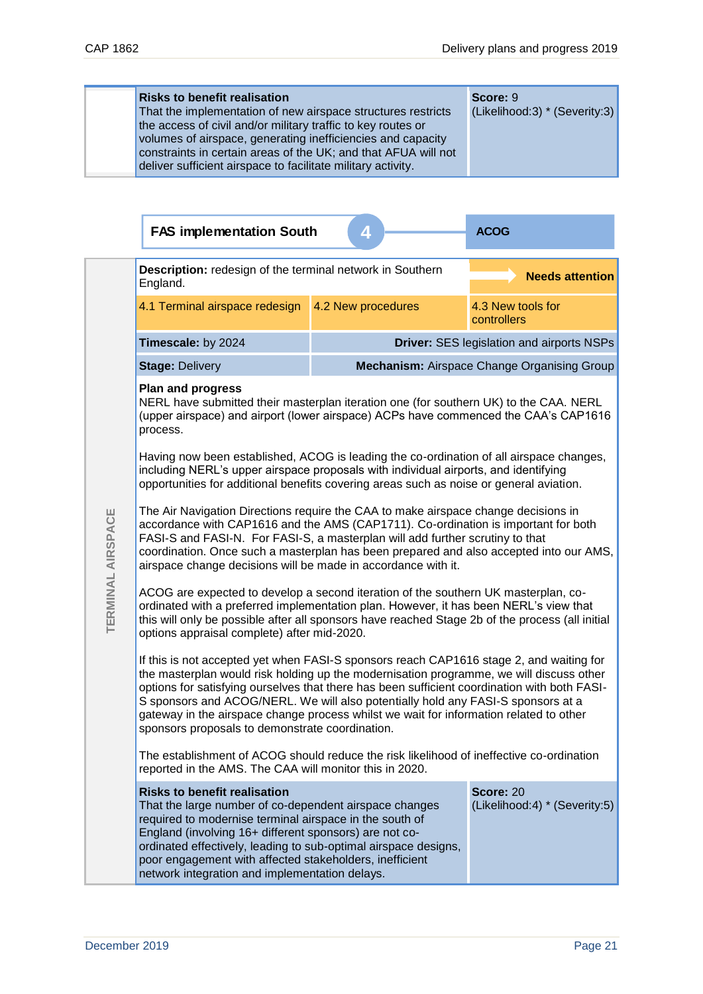| <b>Risks to benefit realisation</b><br>That the implementation of new airspace structures restricts<br>the access of civil and/or military traffic to key routes or<br>volumes of airspace, generating inefficiencies and capacity<br>constraints in certain areas of the UK; and that AFUA will not<br>deliver sufficient airspace to facilitate military activity. | Score: 9<br>(Likelihood:3) * (Severity:3) |
|----------------------------------------------------------------------------------------------------------------------------------------------------------------------------------------------------------------------------------------------------------------------------------------------------------------------------------------------------------------------|-------------------------------------------|
|----------------------------------------------------------------------------------------------------------------------------------------------------------------------------------------------------------------------------------------------------------------------------------------------------------------------------------------------------------------------|-------------------------------------------|

|                   | <b>FAS implementation South</b>                                                                                                                                                                                                                                                                                                                                                                                                                                                                                     | 41                 | <b>ACOG</b>                                        |  |  |
|-------------------|---------------------------------------------------------------------------------------------------------------------------------------------------------------------------------------------------------------------------------------------------------------------------------------------------------------------------------------------------------------------------------------------------------------------------------------------------------------------------------------------------------------------|--------------------|----------------------------------------------------|--|--|
|                   | Description: redesign of the terminal network in Southern<br>England.                                                                                                                                                                                                                                                                                                                                                                                                                                               |                    | <b>Needs attention</b>                             |  |  |
|                   | 4.1 Terminal airspace redesign                                                                                                                                                                                                                                                                                                                                                                                                                                                                                      | 4.2 New procedures | 4.3 New tools for<br>controllers                   |  |  |
|                   | Timescale: by 2024                                                                                                                                                                                                                                                                                                                                                                                                                                                                                                  |                    | <b>Driver: SES legislation and airports NSPs</b>   |  |  |
|                   | <b>Stage: Delivery</b>                                                                                                                                                                                                                                                                                                                                                                                                                                                                                              |                    | <b>Mechanism: Airspace Change Organising Group</b> |  |  |
|                   | <b>Plan and progress</b><br>NERL have submitted their masterplan iteration one (for southern UK) to the CAA. NERL<br>(upper airspace) and airport (lower airspace) ACPs have commenced the CAA's CAP1616<br>process.                                                                                                                                                                                                                                                                                                |                    |                                                    |  |  |
|                   | Having now been established, ACOG is leading the co-ordination of all airspace changes,<br>including NERL's upper airspace proposals with individual airports, and identifying<br>opportunities for additional benefits covering areas such as noise or general aviation.                                                                                                                                                                                                                                           |                    |                                                    |  |  |
| TERMINAL AIRSPACE | The Air Navigation Directions require the CAA to make airspace change decisions in<br>accordance with CAP1616 and the AMS (CAP1711). Co-ordination is important for both<br>FASI-S and FASI-N. For FASI-S, a masterplan will add further scrutiny to that<br>coordination. Once such a masterplan has been prepared and also accepted into our AMS,<br>airspace change decisions will be made in accordance with it.                                                                                                |                    |                                                    |  |  |
|                   | ACOG are expected to develop a second iteration of the southern UK masterplan, co-<br>ordinated with a preferred implementation plan. However, it has been NERL's view that<br>this will only be possible after all sponsors have reached Stage 2b of the process (all initial<br>options appraisal complete) after mid-2020.                                                                                                                                                                                       |                    |                                                    |  |  |
|                   | If this is not accepted yet when FASI-S sponsors reach CAP1616 stage 2, and waiting for<br>the masterplan would risk holding up the modernisation programme, we will discuss other<br>options for satisfying ourselves that there has been sufficient coordination with both FASI-<br>S sponsors and ACOG/NERL. We will also potentially hold any FASI-S sponsors at a<br>gateway in the airspace change process whilst we wait for information related to other<br>sponsors proposals to demonstrate coordination. |                    |                                                    |  |  |
|                   | The establishment of ACOG should reduce the risk likelihood of ineffective co-ordination<br>reported in the AMS. The CAA will monitor this in 2020.                                                                                                                                                                                                                                                                                                                                                                 |                    |                                                    |  |  |
|                   | Score: 20<br><b>Risks to benefit realisation</b><br>(Likelihood:4) * (Severity:5)<br>That the large number of co-dependent airspace changes<br>required to modernise terminal airspace in the south of<br>England (involving 16+ different sponsors) are not co-<br>ordinated effectively, leading to sub-optimal airspace designs,<br>poor engagement with affected stakeholders, inefficient<br>network integration and implementation delays.                                                                    |                    |                                                    |  |  |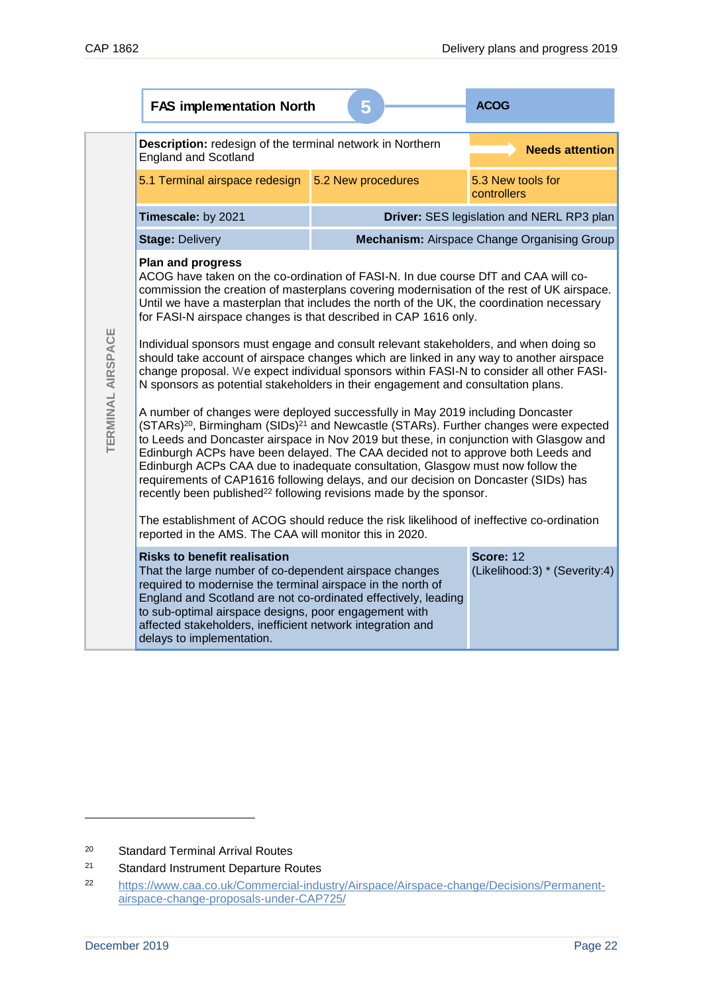|                   | <b>FAS implementation North</b>                                                                                                                                                                                                                                                                                                                                                                                                                                                                                                                                                                                                       | <b>ACOG</b>        |                                                    |  |  |  |
|-------------------|---------------------------------------------------------------------------------------------------------------------------------------------------------------------------------------------------------------------------------------------------------------------------------------------------------------------------------------------------------------------------------------------------------------------------------------------------------------------------------------------------------------------------------------------------------------------------------------------------------------------------------------|--------------------|----------------------------------------------------|--|--|--|
|                   | Description: redesign of the terminal network in Northern<br>England and Scotland                                                                                                                                                                                                                                                                                                                                                                                                                                                                                                                                                     |                    | <b>Needs attention</b>                             |  |  |  |
|                   | 5.1 Terminal airspace redesign                                                                                                                                                                                                                                                                                                                                                                                                                                                                                                                                                                                                        | 5.2 New procedures | 5.3 New tools for<br>controllers                   |  |  |  |
|                   | Timescale: by 2021                                                                                                                                                                                                                                                                                                                                                                                                                                                                                                                                                                                                                    |                    | Driver: SES legislation and NERL RP3 plan          |  |  |  |
|                   | <b>Stage: Delivery</b>                                                                                                                                                                                                                                                                                                                                                                                                                                                                                                                                                                                                                |                    | <b>Mechanism: Airspace Change Organising Group</b> |  |  |  |
|                   | <b>Plan and progress</b><br>ACOG have taken on the co-ordination of FASI-N. In due course DfT and CAA will co-<br>commission the creation of masterplans covering modernisation of the rest of UK airspace.<br>Until we have a masterplan that includes the north of the UK, the coordination necessary<br>for FASI-N airspace changes is that described in CAP 1616 only.                                                                                                                                                                                                                                                            |                    |                                                    |  |  |  |
| TERMINAL AIRSPACE | Individual sponsors must engage and consult relevant stakeholders, and when doing so<br>should take account of airspace changes which are linked in any way to another airspace<br>change proposal. We expect individual sponsors within FASI-N to consider all other FASI-<br>N sponsors as potential stakeholders in their engagement and consultation plans.                                                                                                                                                                                                                                                                       |                    |                                                    |  |  |  |
|                   | A number of changes were deployed successfully in May 2019 including Doncaster<br>(STARs) <sup>20</sup> , Birmingham (SIDs) <sup>21</sup> and Newcastle (STARs). Further changes were expected<br>to Leeds and Doncaster airspace in Nov 2019 but these, in conjunction with Glasgow and<br>Edinburgh ACPs have been delayed. The CAA decided not to approve both Leeds and<br>Edinburgh ACPs CAA due to inadequate consultation, Glasgow must now follow the<br>requirements of CAP1616 following delays, and our decision on Doncaster (SIDs) has<br>recently been published <sup>22</sup> following revisions made by the sponsor. |                    |                                                    |  |  |  |
|                   | The establishment of ACOG should reduce the risk likelihood of ineffective co-ordination<br>reported in the AMS. The CAA will monitor this in 2020.                                                                                                                                                                                                                                                                                                                                                                                                                                                                                   |                    |                                                    |  |  |  |
|                   | Score: 12<br><b>Risks to benefit realisation</b><br>(Likelihood:3) * (Severity:4)<br>That the large number of co-dependent airspace changes<br>required to modernise the terminal airspace in the north of<br>England and Scotland are not co-ordinated effectively, leading<br>to sub-optimal airspace designs, poor engagement with<br>affected stakeholders, inefficient network integration and<br>delays to implementation.                                                                                                                                                                                                      |                    |                                                    |  |  |  |
|                   |                                                                                                                                                                                                                                                                                                                                                                                                                                                                                                                                                                                                                                       |                    |                                                    |  |  |  |
| 20<br>21<br>22    | <b>Standard Terminal Arrival Routes</b><br><b>Standard Instrument Departure Routes</b><br>https://www.caa.co.uk/Commercial-industry/Airspace/Airspace-change/Decisions/Permanent-                                                                                                                                                                                                                                                                                                                                                                                                                                                     |                    |                                                    |  |  |  |
|                   | airspace-change-proposals-under-CAP725/                                                                                                                                                                                                                                                                                                                                                                                                                                                                                                                                                                                               |                    |                                                    |  |  |  |
| December 2019     |                                                                                                                                                                                                                                                                                                                                                                                                                                                                                                                                                                                                                                       |                    | Page 22                                            |  |  |  |

<sup>20</sup> Standard Terminal Arrival Routes

<sup>21</sup> Standard Instrument Departure Routes

<sup>22</sup> [https://www.caa.co.uk/Commercial-industry/Airspace/Airspace-change/Decisions/Permanent](https://www.caa.co.uk/Commercial-industry/Airspace/Airspace-change/Decisions/Permanent-airspace-change-proposals-under-CAP725/)[airspace-change-proposals-under-CAP725/](https://www.caa.co.uk/Commercial-industry/Airspace/Airspace-change/Decisions/Permanent-airspace-change-proposals-under-CAP725/)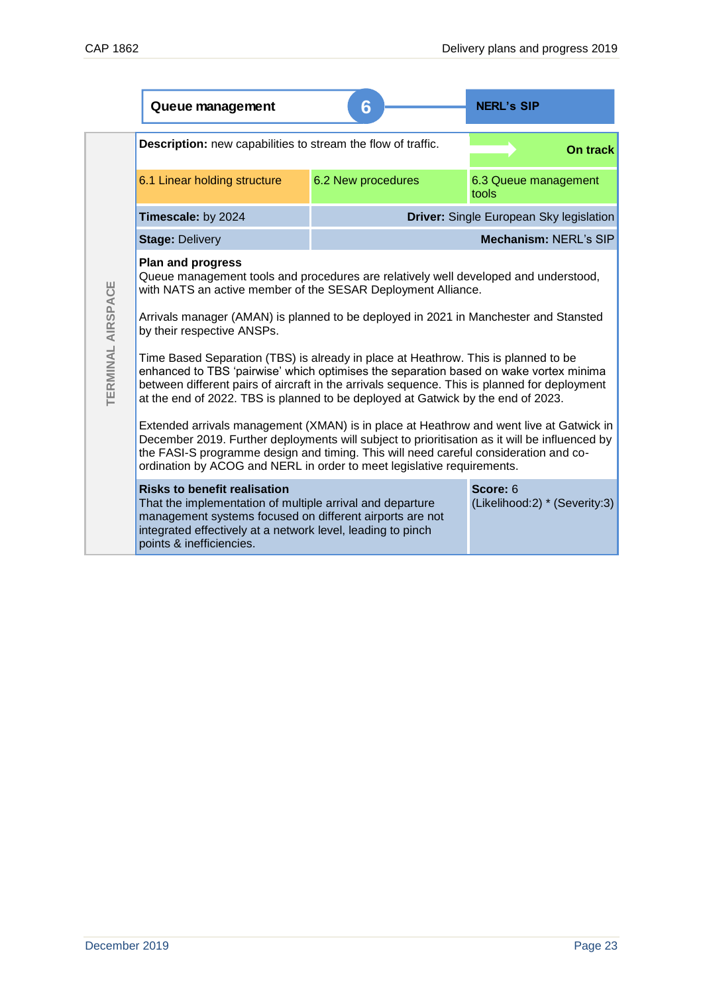|                   | Queue management                                                                                                                                                                                                                                                                                                                                                | 6                                         | <b>NERL's SIP</b>                       |  |  |
|-------------------|-----------------------------------------------------------------------------------------------------------------------------------------------------------------------------------------------------------------------------------------------------------------------------------------------------------------------------------------------------------------|-------------------------------------------|-----------------------------------------|--|--|
|                   | Description: new capabilities to stream the flow of traffic.                                                                                                                                                                                                                                                                                                    |                                           | On track                                |  |  |
|                   | 6.1 Linear holding structure                                                                                                                                                                                                                                                                                                                                    | 6.2 New procedures                        | 6.3 Queue management<br>tools           |  |  |
|                   | Timescale: by 2024                                                                                                                                                                                                                                                                                                                                              |                                           | Driver: Single European Sky legislation |  |  |
|                   | <b>Stage: Delivery</b>                                                                                                                                                                                                                                                                                                                                          |                                           | Mechanism: NERL's SIP                   |  |  |
|                   | <b>Plan and progress</b><br>Queue management tools and procedures are relatively well developed and understood,<br>with NATS an active member of the SESAR Deployment Alliance.                                                                                                                                                                                 |                                           |                                         |  |  |
|                   | Arrivals manager (AMAN) is planned to be deployed in 2021 in Manchester and Stansted<br>by their respective ANSPs.                                                                                                                                                                                                                                              |                                           |                                         |  |  |
| TERMINAL AIRSPACE | Time Based Separation (TBS) is already in place at Heathrow. This is planned to be<br>enhanced to TBS 'pairwise' which optimises the separation based on wake vortex minima<br>between different pairs of aircraft in the arrivals sequence. This is planned for deployment<br>at the end of 2022. TBS is planned to be deployed at Gatwick by the end of 2023. |                                           |                                         |  |  |
|                   | Extended arrivals management (XMAN) is in place at Heathrow and went live at Gatwick in<br>December 2019. Further deployments will subject to prioritisation as it will be influenced by<br>the FASI-S programme design and timing. This will need careful consideration and co-<br>ordination by ACOG and NERL in order to meet legislative requirements.      |                                           |                                         |  |  |
|                   | <b>Risks to benefit realisation</b><br>That the implementation of multiple arrival and departure<br>management systems focused on different airports are not<br>integrated effectively at a network level, leading to pinch<br>points & inefficiencies.                                                                                                         | Score: 6<br>(Likelihood:2) * (Severity:3) |                                         |  |  |
|                   |                                                                                                                                                                                                                                                                                                                                                                 |                                           |                                         |  |  |
|                   |                                                                                                                                                                                                                                                                                                                                                                 |                                           |                                         |  |  |
|                   |                                                                                                                                                                                                                                                                                                                                                                 |                                           |                                         |  |  |
|                   |                                                                                                                                                                                                                                                                                                                                                                 |                                           |                                         |  |  |
|                   |                                                                                                                                                                                                                                                                                                                                                                 |                                           |                                         |  |  |
|                   |                                                                                                                                                                                                                                                                                                                                                                 |                                           |                                         |  |  |
|                   |                                                                                                                                                                                                                                                                                                                                                                 |                                           |                                         |  |  |
|                   |                                                                                                                                                                                                                                                                                                                                                                 |                                           |                                         |  |  |
|                   |                                                                                                                                                                                                                                                                                                                                                                 |                                           |                                         |  |  |
|                   |                                                                                                                                                                                                                                                                                                                                                                 |                                           |                                         |  |  |
| December 2019     |                                                                                                                                                                                                                                                                                                                                                                 |                                           | Page 23                                 |  |  |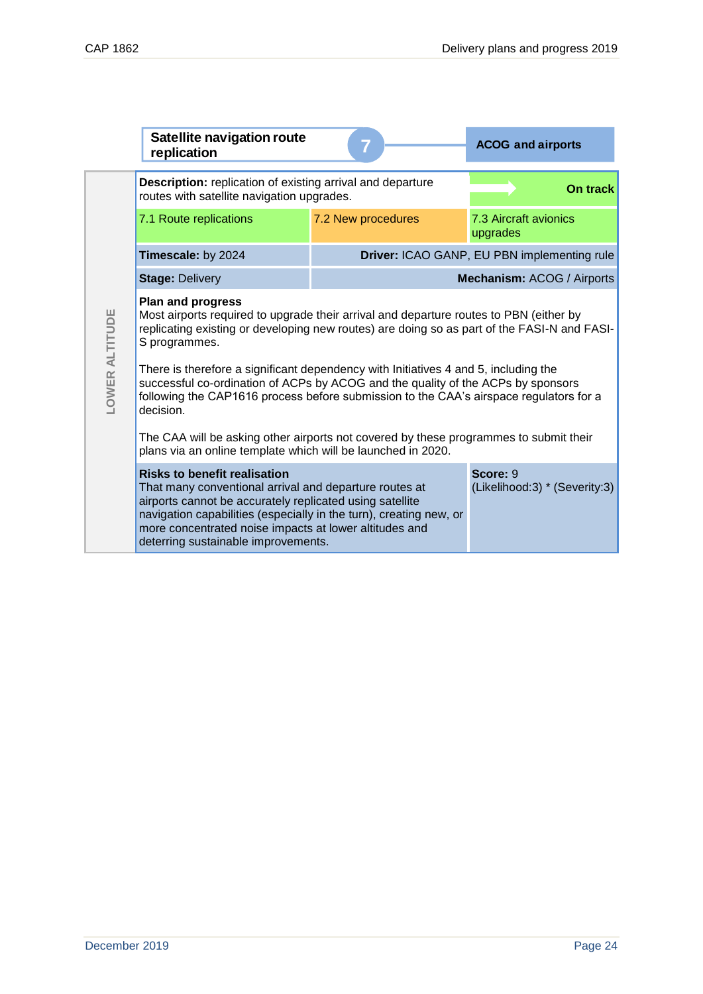|                       | <b>Satellite navigation route</b><br>replication                                                                                                                                                                                                                                                                                 |                                             | <b>ACOG and airports</b>          |
|-----------------------|----------------------------------------------------------------------------------------------------------------------------------------------------------------------------------------------------------------------------------------------------------------------------------------------------------------------------------|---------------------------------------------|-----------------------------------|
|                       | <b>Description:</b> replication of existing arrival and departure<br>routes with satellite navigation upgrades.                                                                                                                                                                                                                  |                                             | On track                          |
|                       | 7.1 Route replications                                                                                                                                                                                                                                                                                                           | 7.2 New procedures                          | 7.3 Aircraft avionics<br>upgrades |
|                       | Timescale: by 2024                                                                                                                                                                                                                                                                                                               | Driver: ICAO GANP, EU PBN implementing rule |                                   |
|                       | <b>Stage: Delivery</b>                                                                                                                                                                                                                                                                                                           |                                             | Mechanism: ACOG / Airports        |
|                       | <b>Plan and progress</b><br>Most airports required to upgrade their arrival and departure routes to PBN (either by<br>replicating existing or developing new routes) are doing so as part of the FASI-N and FASI-<br>S programmes.                                                                                               |                                             |                                   |
| <b>LOWER ALTITUDE</b> | There is therefore a significant dependency with Initiatives 4 and 5, including the<br>successful co-ordination of ACPs by ACOG and the quality of the ACPs by sponsors<br>following the CAP1616 process before submission to the CAA's airspace regulators for a<br>decision.                                                   |                                             |                                   |
|                       | The CAA will be asking other airports not covered by these programmes to submit their<br>plans via an online template which will be launched in 2020.                                                                                                                                                                            |                                             |                                   |
|                       | <b>Risks to benefit realisation</b><br>That many conventional arrival and departure routes at<br>airports cannot be accurately replicated using satellite<br>navigation capabilities (especially in the turn), creating new, or<br>more concentrated noise impacts at lower altitudes and<br>deterring sustainable improvements. | Score: 9<br>(Likelihood:3) * (Severity:3)   |                                   |
|                       |                                                                                                                                                                                                                                                                                                                                  |                                             |                                   |
|                       |                                                                                                                                                                                                                                                                                                                                  |                                             |                                   |
|                       |                                                                                                                                                                                                                                                                                                                                  |                                             |                                   |
|                       |                                                                                                                                                                                                                                                                                                                                  |                                             |                                   |
|                       |                                                                                                                                                                                                                                                                                                                                  |                                             |                                   |
|                       |                                                                                                                                                                                                                                                                                                                                  |                                             |                                   |
|                       |                                                                                                                                                                                                                                                                                                                                  |                                             |                                   |
|                       |                                                                                                                                                                                                                                                                                                                                  |                                             |                                   |
|                       |                                                                                                                                                                                                                                                                                                                                  |                                             |                                   |
| December 2019         |                                                                                                                                                                                                                                                                                                                                  |                                             | Page 24                           |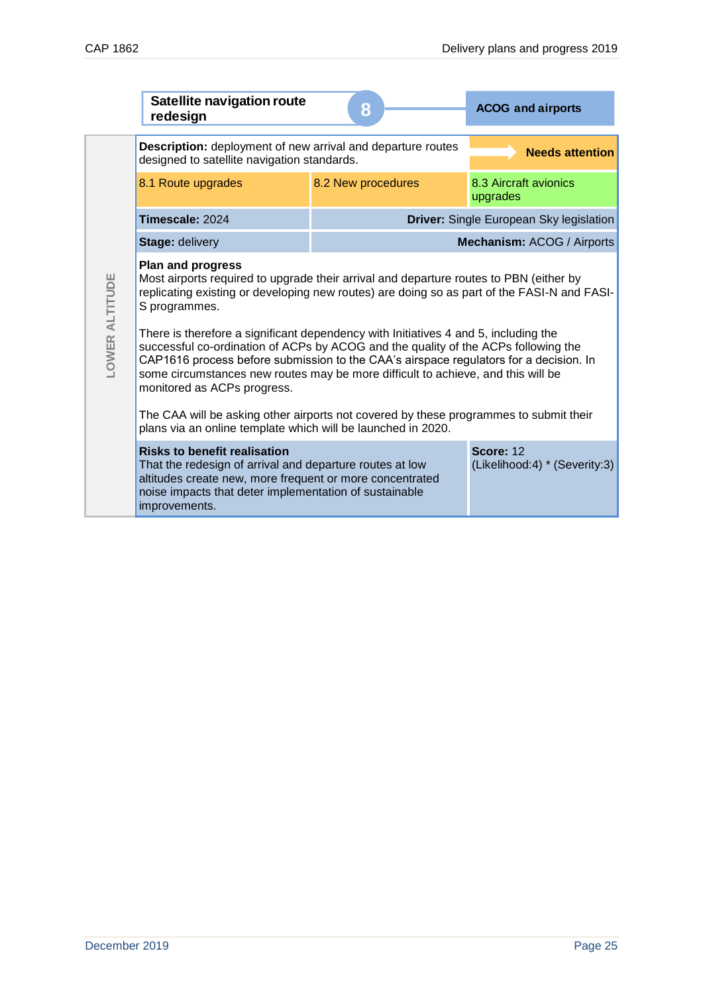|                       | <b>Satellite navigation route</b><br>redesign                                                                                                                                                                                                                                                                                                                                         | 8                  | <b>ACOG and airports</b>                          |
|-----------------------|---------------------------------------------------------------------------------------------------------------------------------------------------------------------------------------------------------------------------------------------------------------------------------------------------------------------------------------------------------------------------------------|--------------------|---------------------------------------------------|
|                       | Description: deployment of new arrival and departure routes<br>designed to satellite navigation standards.                                                                                                                                                                                                                                                                            |                    | <b>Needs attention</b>                            |
|                       | 8.1 Route upgrades                                                                                                                                                                                                                                                                                                                                                                    | 8.2 New procedures | 8.3 Aircraft avionics<br>upgrades                 |
|                       | Timescale: 2024                                                                                                                                                                                                                                                                                                                                                                       |                    | Driver: Single European Sky legislation           |
|                       | <b>Stage: delivery</b>                                                                                                                                                                                                                                                                                                                                                                |                    | Mechanism: ACOG / Airports                        |
|                       | <b>Plan and progress</b><br>Most airports required to upgrade their arrival and departure routes to PBN (either by<br>replicating existing or developing new routes) are doing so as part of the FASI-N and FASI-<br>S programmes.                                                                                                                                                    |                    |                                                   |
| <b>LOWER ALTITUDE</b> | There is therefore a significant dependency with Initiatives 4 and 5, including the<br>successful co-ordination of ACPs by ACOG and the quality of the ACPs following the<br>CAP1616 process before submission to the CAA's airspace regulators for a decision. In<br>some circumstances new routes may be more difficult to achieve, and this will be<br>monitored as ACPs progress. |                    |                                                   |
|                       | The CAA will be asking other airports not covered by these programmes to submit their<br>plans via an online template which will be launched in 2020.                                                                                                                                                                                                                                 |                    |                                                   |
|                       | <b>Risks to benefit realisation</b><br>That the redesign of arrival and departure routes at low<br>altitudes create new, more frequent or more concentrated<br>noise impacts that deter implementation of sustainable<br>improvements.                                                                                                                                                |                    | <b>Score: 12</b><br>(Likelihood:4) * (Severity:3) |
|                       |                                                                                                                                                                                                                                                                                                                                                                                       |                    |                                                   |
|                       |                                                                                                                                                                                                                                                                                                                                                                                       |                    |                                                   |
| December 2019         |                                                                                                                                                                                                                                                                                                                                                                                       |                    | Page 25                                           |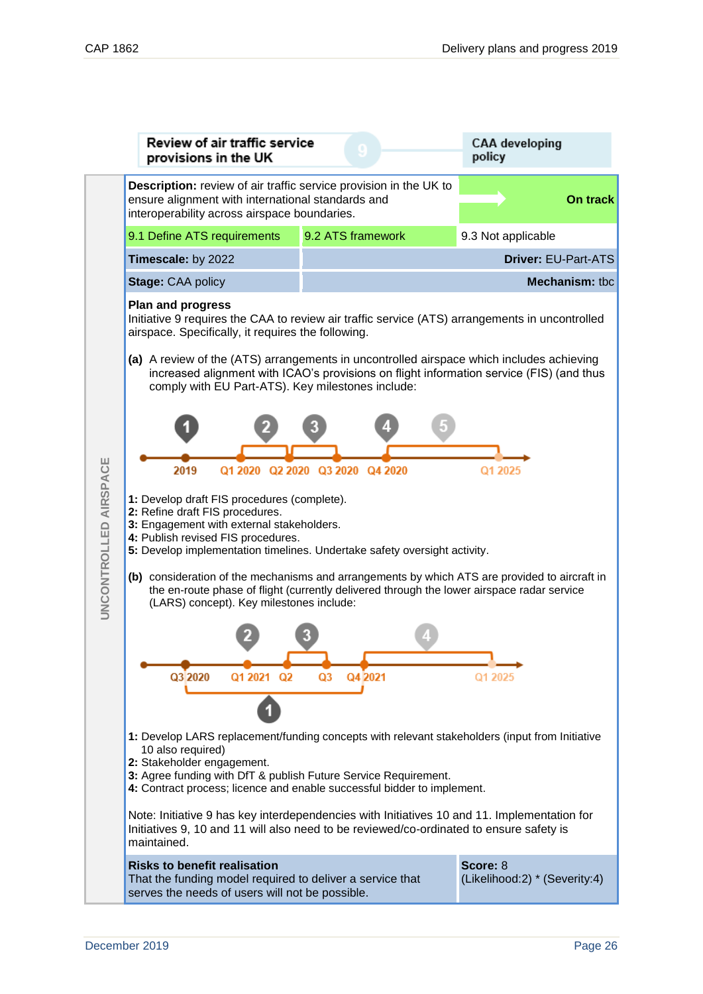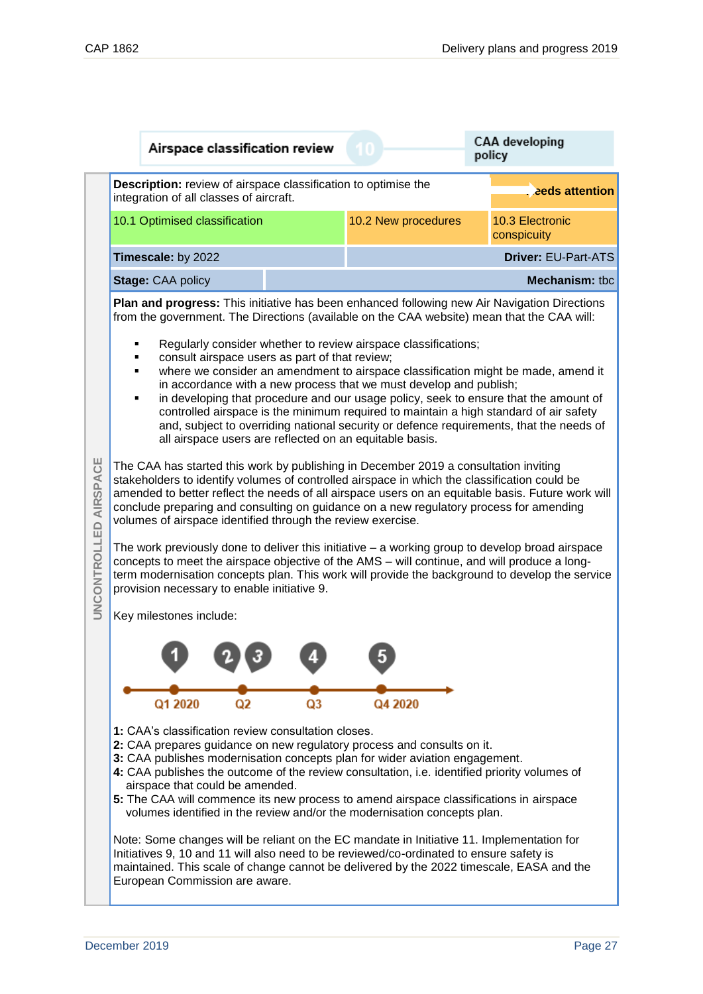| ٠<br>٠<br>٠<br>٠                       | <b>Description:</b> review of airspace classification to optimise the<br>integration of all classes of aircraft.<br>10.1 Optimised classification                                                                                                                                                                                                                                                                                                                                                                                                                                                                                                                                                                                                                                                                                                                                                                                                                                                                                                                                                                                                                                                                                                                                                                                                                                                                                                                                                                                                                                                                                                                                                                                                       |  | 10.2 New procedures                                                                                                                                                                                                                                                                                                                                                                                                                                                                                                                                                                                                                                                                                             | . eds attention<br>10.3 Electronic<br>conspicuity |  |  |  |
|----------------------------------------|---------------------------------------------------------------------------------------------------------------------------------------------------------------------------------------------------------------------------------------------------------------------------------------------------------------------------------------------------------------------------------------------------------------------------------------------------------------------------------------------------------------------------------------------------------------------------------------------------------------------------------------------------------------------------------------------------------------------------------------------------------------------------------------------------------------------------------------------------------------------------------------------------------------------------------------------------------------------------------------------------------------------------------------------------------------------------------------------------------------------------------------------------------------------------------------------------------------------------------------------------------------------------------------------------------------------------------------------------------------------------------------------------------------------------------------------------------------------------------------------------------------------------------------------------------------------------------------------------------------------------------------------------------------------------------------------------------------------------------------------------------|--|-----------------------------------------------------------------------------------------------------------------------------------------------------------------------------------------------------------------------------------------------------------------------------------------------------------------------------------------------------------------------------------------------------------------------------------------------------------------------------------------------------------------------------------------------------------------------------------------------------------------------------------------------------------------------------------------------------------------|---------------------------------------------------|--|--|--|
|                                        |                                                                                                                                                                                                                                                                                                                                                                                                                                                                                                                                                                                                                                                                                                                                                                                                                                                                                                                                                                                                                                                                                                                                                                                                                                                                                                                                                                                                                                                                                                                                                                                                                                                                                                                                                         |  |                                                                                                                                                                                                                                                                                                                                                                                                                                                                                                                                                                                                                                                                                                                 |                                                   |  |  |  |
|                                        |                                                                                                                                                                                                                                                                                                                                                                                                                                                                                                                                                                                                                                                                                                                                                                                                                                                                                                                                                                                                                                                                                                                                                                                                                                                                                                                                                                                                                                                                                                                                                                                                                                                                                                                                                         |  |                                                                                                                                                                                                                                                                                                                                                                                                                                                                                                                                                                                                                                                                                                                 |                                                   |  |  |  |
|                                        |                                                                                                                                                                                                                                                                                                                                                                                                                                                                                                                                                                                                                                                                                                                                                                                                                                                                                                                                                                                                                                                                                                                                                                                                                                                                                                                                                                                                                                                                                                                                                                                                                                                                                                                                                         |  |                                                                                                                                                                                                                                                                                                                                                                                                                                                                                                                                                                                                                                                                                                                 |                                                   |  |  |  |
|                                        |                                                                                                                                                                                                                                                                                                                                                                                                                                                                                                                                                                                                                                                                                                                                                                                                                                                                                                                                                                                                                                                                                                                                                                                                                                                                                                                                                                                                                                                                                                                                                                                                                                                                                                                                                         |  |                                                                                                                                                                                                                                                                                                                                                                                                                                                                                                                                                                                                                                                                                                                 |                                                   |  |  |  |
| <b>AIRSPACE</b><br><b>UNCONTROLLED</b> | Timescale: by 2022<br>Driver: EU-Part-ATS<br><b>Mechanism: tbc</b><br><b>Stage: CAA policy</b><br>Plan and progress: This initiative has been enhanced following new Air Navigation Directions<br>from the government. The Directions (available on the CAA website) mean that the CAA will:<br>Regularly consider whether to review airspace classifications;<br>consult airspace users as part of that review;<br>where we consider an amendment to airspace classification might be made, amend it<br>in accordance with a new process that we must develop and publish;<br>in developing that procedure and our usage policy, seek to ensure that the amount of<br>controlled airspace is the minimum required to maintain a high standard of air safety<br>and, subject to overriding national security or defence requirements, that the needs of<br>all airspace users are reflected on an equitable basis.<br>The CAA has started this work by publishing in December 2019 a consultation inviting<br>stakeholders to identify volumes of controlled airspace in which the classification could be<br>amended to better reflect the needs of all airspace users on an equitable basis. Future work will<br>conclude preparing and consulting on guidance on a new regulatory process for amending<br>volumes of airspace identified through the review exercise.<br>The work previously done to deliver this initiative - a working group to develop broad airspace<br>concepts to meet the airspace objective of the AMS - will continue, and will produce a long-<br>term modernisation concepts plan. This work will provide the background to develop the service<br>provision necessary to enable initiative 9.<br>Key milestones include: |  |                                                                                                                                                                                                                                                                                                                                                                                                                                                                                                                                                                                                                                                                                                                 |                                                   |  |  |  |
|                                        | 1: CAA's classification review consultation closes.<br>airspace that could be amended.<br>European Commission are aware.                                                                                                                                                                                                                                                                                                                                                                                                                                                                                                                                                                                                                                                                                                                                                                                                                                                                                                                                                                                                                                                                                                                                                                                                                                                                                                                                                                                                                                                                                                                                                                                                                                |  | 2: CAA prepares guidance on new regulatory process and consults on it.<br>3: CAA publishes modernisation concepts plan for wider aviation engagement.<br>4: CAA publishes the outcome of the review consultation, i.e. identified priority volumes of<br>5: The CAA will commence its new process to amend airspace classifications in airspace<br>volumes identified in the review and/or the modernisation concepts plan.<br>Note: Some changes will be reliant on the EC mandate in Initiative 11. Implementation for<br>Initiatives 9, 10 and 11 will also need to be reviewed/co-ordinated to ensure safety is<br>maintained. This scale of change cannot be delivered by the 2022 timescale, EASA and the |                                                   |  |  |  |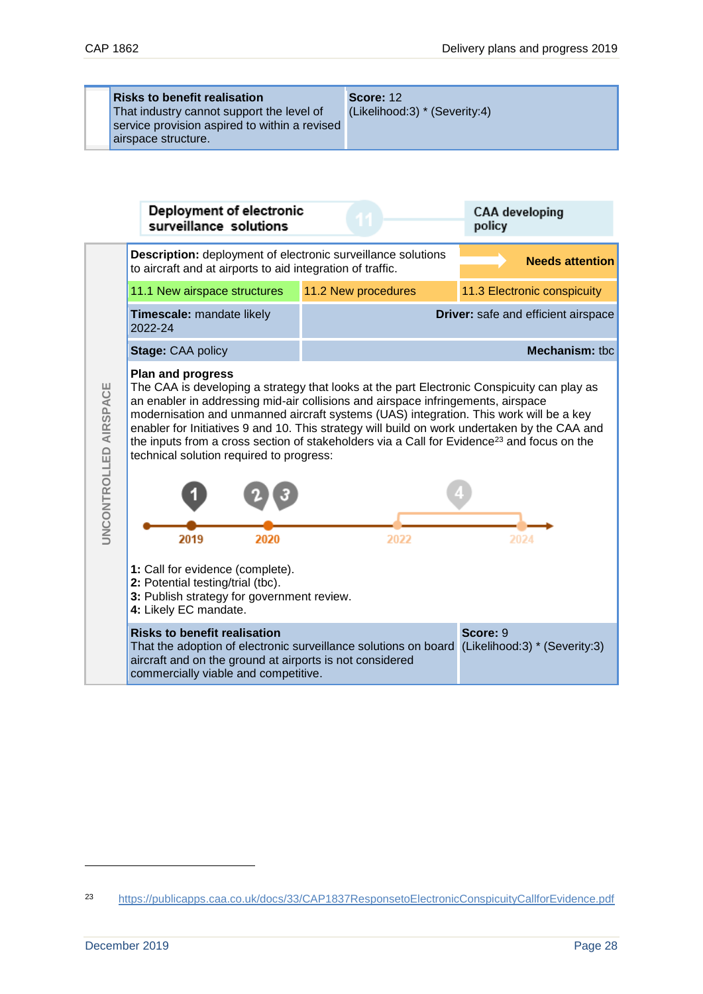**Risks to benefit realisation** That industry cannot support the level of service provision aspired to within a revised airspace structure. **Score:** 12 (Likelihood:3) \* (Severity:4)



<sup>23</sup> <https://publicapps.caa.co.uk/docs/33/CAP1837ResponsetoElectronicConspicuityCallforEvidence.pdf>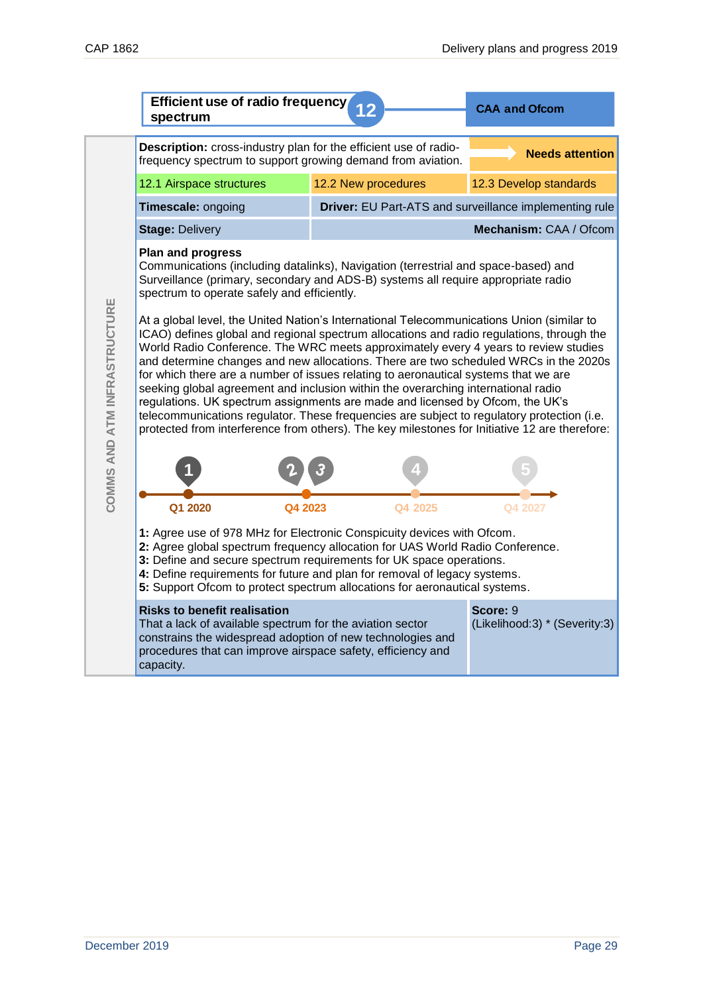|                              | Efficient use of radio frequency<br>spectrum                                                                                                                                                                                                                                                                                                                                                                                                                                                                                                                                                                                                                                                                                                                                                                                      | <b>CAA and Ofcom</b> |                                                        |  |  |
|------------------------------|-----------------------------------------------------------------------------------------------------------------------------------------------------------------------------------------------------------------------------------------------------------------------------------------------------------------------------------------------------------------------------------------------------------------------------------------------------------------------------------------------------------------------------------------------------------------------------------------------------------------------------------------------------------------------------------------------------------------------------------------------------------------------------------------------------------------------------------|----------------------|--------------------------------------------------------|--|--|
|                              | Description: cross-industry plan for the efficient use of radio-<br>frequency spectrum to support growing demand from aviation.                                                                                                                                                                                                                                                                                                                                                                                                                                                                                                                                                                                                                                                                                                   |                      | <b>Needs attention</b>                                 |  |  |
|                              | 12.1 Airspace structures                                                                                                                                                                                                                                                                                                                                                                                                                                                                                                                                                                                                                                                                                                                                                                                                          | 12.2 New procedures  | 12.3 Develop standards                                 |  |  |
|                              | Timescale: ongoing                                                                                                                                                                                                                                                                                                                                                                                                                                                                                                                                                                                                                                                                                                                                                                                                                |                      | Driver: EU Part-ATS and surveillance implementing rule |  |  |
|                              | <b>Stage: Delivery</b>                                                                                                                                                                                                                                                                                                                                                                                                                                                                                                                                                                                                                                                                                                                                                                                                            |                      | Mechanism: CAA / Ofcom                                 |  |  |
|                              | <b>Plan and progress</b><br>Communications (including datalinks), Navigation (terrestrial and space-based) and<br>Surveillance (primary, secondary and ADS-B) systems all require appropriate radio<br>spectrum to operate safely and efficiently.                                                                                                                                                                                                                                                                                                                                                                                                                                                                                                                                                                                |                      |                                                        |  |  |
| COMMS AND ATM INFRASTRUCTURE | At a global level, the United Nation's International Telecommunications Union (similar to<br>ICAO) defines global and regional spectrum allocations and radio regulations, through the<br>World Radio Conference. The WRC meets approximately every 4 years to review studies<br>and determine changes and new allocations. There are two scheduled WRCs in the 2020s<br>for which there are a number of issues relating to aeronautical systems that we are<br>seeking global agreement and inclusion within the overarching international radio<br>regulations. UK spectrum assignments are made and licensed by Ofcom, the UK's<br>telecommunications regulator. These frequencies are subject to regulatory protection (i.e.<br>protected from interference from others). The key milestones for Initiative 12 are therefore: |                      |                                                        |  |  |
|                              |                                                                                                                                                                                                                                                                                                                                                                                                                                                                                                                                                                                                                                                                                                                                                                                                                                   |                      |                                                        |  |  |
|                              | Q1 2020<br>Q4 2023                                                                                                                                                                                                                                                                                                                                                                                                                                                                                                                                                                                                                                                                                                                                                                                                                | Q4 2025              | Q4 2027                                                |  |  |
|                              | 1: Agree use of 978 MHz for Electronic Conspicuity devices with Ofcom.<br>2: Agree global spectrum frequency allocation for UAS World Radio Conference.<br>3: Define and secure spectrum requirements for UK space operations.<br>4: Define requirements for future and plan for removal of legacy systems.<br>5: Support Ofcom to protect spectrum allocations for aeronautical systems.                                                                                                                                                                                                                                                                                                                                                                                                                                         |                      |                                                        |  |  |
|                              | <b>Risks to benefit realisation</b><br>That a lack of available spectrum for the aviation sector<br>constrains the widespread adoption of new technologies and<br>procedures that can improve airspace safety, efficiency and<br>capacity.                                                                                                                                                                                                                                                                                                                                                                                                                                                                                                                                                                                        |                      | Score: 9<br>(Likelihood:3) * (Severity:3)              |  |  |
|                              |                                                                                                                                                                                                                                                                                                                                                                                                                                                                                                                                                                                                                                                                                                                                                                                                                                   |                      |                                                        |  |  |
|                              |                                                                                                                                                                                                                                                                                                                                                                                                                                                                                                                                                                                                                                                                                                                                                                                                                                   |                      |                                                        |  |  |
| December 2019                |                                                                                                                                                                                                                                                                                                                                                                                                                                                                                                                                                                                                                                                                                                                                                                                                                                   |                      | Page 29                                                |  |  |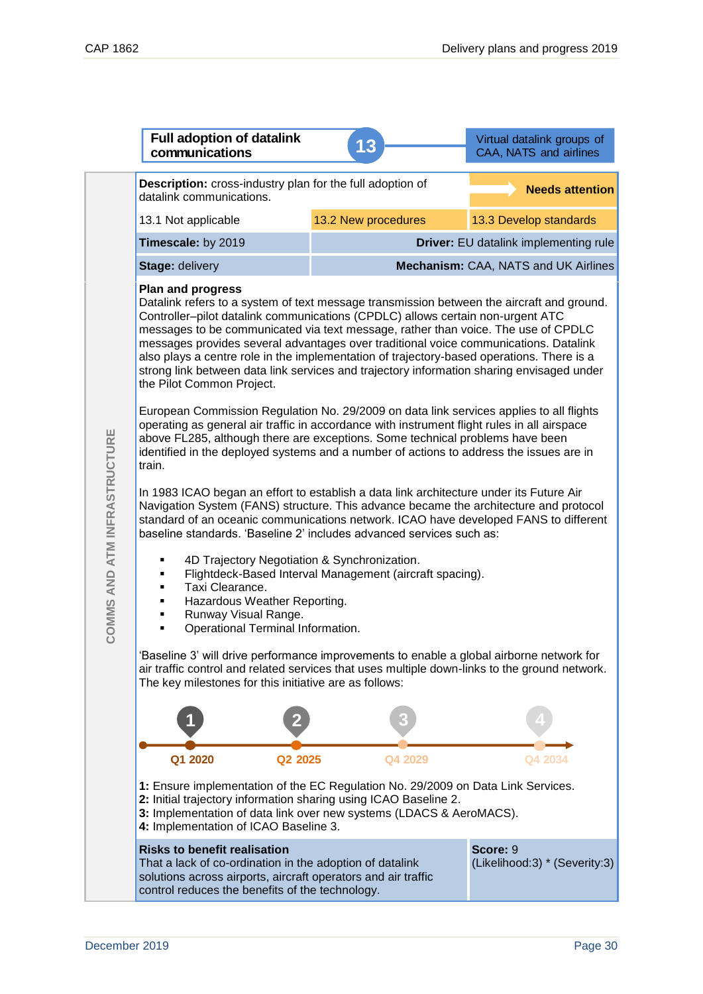|                              | <b>Full adoption of datalink</b><br>communications                                                                                                                                                                                                                                                                                                                                                                                                                                                                                                                                                          | 13                                   | Virtual datalink groups of<br>CAA, NATS and airlines |  |  |
|------------------------------|-------------------------------------------------------------------------------------------------------------------------------------------------------------------------------------------------------------------------------------------------------------------------------------------------------------------------------------------------------------------------------------------------------------------------------------------------------------------------------------------------------------------------------------------------------------------------------------------------------------|--------------------------------------|------------------------------------------------------|--|--|
| COMMS AND ATM INFRASTRUCTURE | Description: cross-industry plan for the full adoption of<br><b>Needs attention</b><br>datalink communications.                                                                                                                                                                                                                                                                                                                                                                                                                                                                                             |                                      |                                                      |  |  |
|                              | 13.1 Not applicable                                                                                                                                                                                                                                                                                                                                                                                                                                                                                                                                                                                         | 13.2 New procedures                  | 13.3 Develop standards                               |  |  |
|                              | Timescale: by 2019                                                                                                                                                                                                                                                                                                                                                                                                                                                                                                                                                                                          |                                      | Driver: EU datalink implementing rule                |  |  |
|                              | Stage: delivery                                                                                                                                                                                                                                                                                                                                                                                                                                                                                                                                                                                             | Mechanism: CAA, NATS and UK Airlines |                                                      |  |  |
|                              | <b>Plan and progress</b><br>Datalink refers to a system of text message transmission between the aircraft and ground.<br>Controller-pilot datalink communications (CPDLC) allows certain non-urgent ATC<br>messages to be communicated via text message, rather than voice. The use of CPDLC<br>messages provides several advantages over traditional voice communications. Datalink<br>also plays a centre role in the implementation of trajectory-based operations. There is a<br>strong link between data link services and trajectory information sharing envisaged under<br>the Pilot Common Project. |                                      |                                                      |  |  |
|                              | European Commission Regulation No. 29/2009 on data link services applies to all flights<br>operating as general air traffic in accordance with instrument flight rules in all airspace<br>above FL285, although there are exceptions. Some technical problems have been<br>identified in the deployed systems and a number of actions to address the issues are in<br>train.                                                                                                                                                                                                                                |                                      |                                                      |  |  |
|                              | In 1983 ICAO began an effort to establish a data link architecture under its Future Air<br>Navigation System (FANS) structure. This advance became the architecture and protocol<br>standard of an oceanic communications network. ICAO have developed FANS to different<br>baseline standards. 'Baseline 2' includes advanced services such as:                                                                                                                                                                                                                                                            |                                      |                                                      |  |  |
|                              | 4D Trajectory Negotiation & Synchronization.<br>Flightdeck-Based Interval Management (aircraft spacing).<br>Taxi Clearance.<br>٠<br>Hazardous Weather Reporting.<br>٠<br>Runway Visual Range.<br>Operational Terminal Information.                                                                                                                                                                                                                                                                                                                                                                          |                                      |                                                      |  |  |
|                              | 'Baseline 3' will drive performance improvements to enable a global airborne network for<br>air traffic control and related services that uses multiple down-links to the ground network.<br>The key milestones for this initiative are as follows:                                                                                                                                                                                                                                                                                                                                                         |                                      |                                                      |  |  |
|                              |                                                                                                                                                                                                                                                                                                                                                                                                                                                                                                                                                                                                             |                                      |                                                      |  |  |
|                              | Q1 2020<br>Q2 2025                                                                                                                                                                                                                                                                                                                                                                                                                                                                                                                                                                                          | Q4 2029                              | Q4 2034                                              |  |  |
|                              | 1: Ensure implementation of the EC Regulation No. 29/2009 on Data Link Services.<br>2: Initial trajectory information sharing using ICAO Baseline 2.<br>3: Implementation of data link over new systems (LDACS & AeroMACS).<br>4: Implementation of ICAO Baseline 3.                                                                                                                                                                                                                                                                                                                                        |                                      |                                                      |  |  |
|                              | <b>Risks to benefit realisation</b><br>That a lack of co-ordination in the adoption of datalink<br>solutions across airports, aircraft operators and air traffic<br>control reduces the benefits of the technology.                                                                                                                                                                                                                                                                                                                                                                                         |                                      | Score: 9<br>(Likelihood:3) * (Severity:3)            |  |  |
|                              |                                                                                                                                                                                                                                                                                                                                                                                                                                                                                                                                                                                                             |                                      |                                                      |  |  |
| December 2019<br>Page 30     |                                                                                                                                                                                                                                                                                                                                                                                                                                                                                                                                                                                                             |                                      |                                                      |  |  |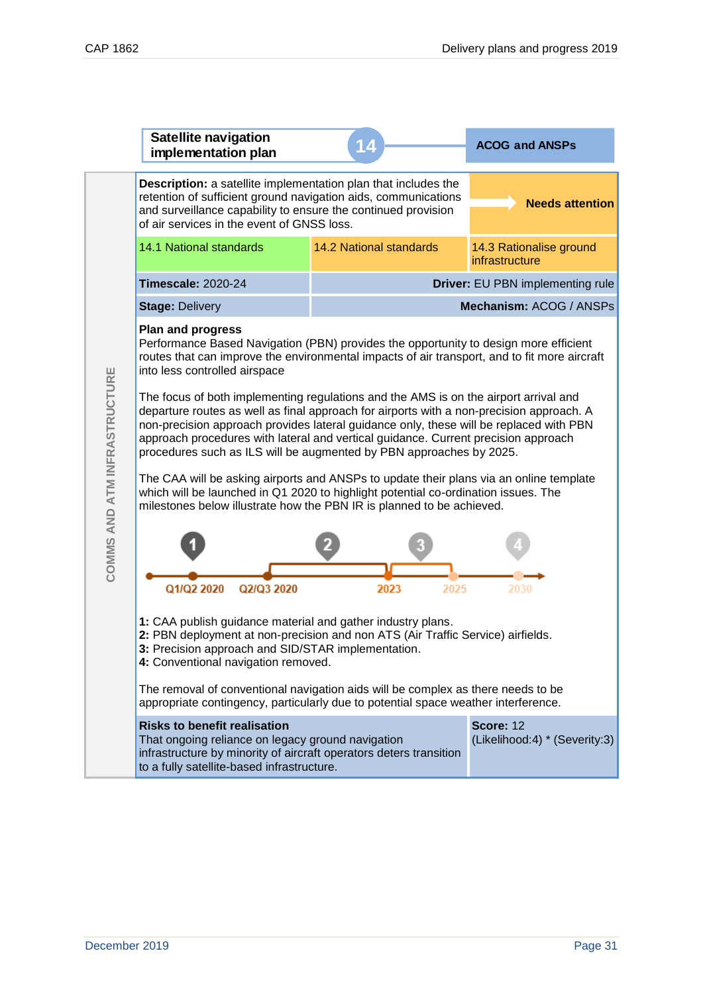|                              | <b>Satellite navigation</b><br>implementation plan                                                                                                                                                                                                                                                                                                                                                                                                                                                                                                                                                                                                                                                                                                                                                                                                                                                                                                    |                                  | <b>ACOG and ANSPs</b>                             |  |
|------------------------------|-------------------------------------------------------------------------------------------------------------------------------------------------------------------------------------------------------------------------------------------------------------------------------------------------------------------------------------------------------------------------------------------------------------------------------------------------------------------------------------------------------------------------------------------------------------------------------------------------------------------------------------------------------------------------------------------------------------------------------------------------------------------------------------------------------------------------------------------------------------------------------------------------------------------------------------------------------|----------------------------------|---------------------------------------------------|--|
|                              | Description: a satellite implementation plan that includes the<br>retention of sufficient ground navigation aids, communications<br>and surveillance capability to ensure the continued provision<br>of air services in the event of GNSS loss.                                                                                                                                                                                                                                                                                                                                                                                                                                                                                                                                                                                                                                                                                                       |                                  | <b>Needs attention</b>                            |  |
|                              | 14.1 National standards                                                                                                                                                                                                                                                                                                                                                                                                                                                                                                                                                                                                                                                                                                                                                                                                                                                                                                                               | <b>14.2 National standards</b>   | 14.3 Rationalise ground<br>infrastructure         |  |
|                              | <b>Timescale: 2020-24</b>                                                                                                                                                                                                                                                                                                                                                                                                                                                                                                                                                                                                                                                                                                                                                                                                                                                                                                                             | Driver: EU PBN implementing rule |                                                   |  |
|                              | <b>Stage: Delivery</b>                                                                                                                                                                                                                                                                                                                                                                                                                                                                                                                                                                                                                                                                                                                                                                                                                                                                                                                                |                                  | Mechanism: ACOG / ANSPs                           |  |
| COMMS AND ATM INFRASTRUCTURE | <b>Plan and progress</b><br>Performance Based Navigation (PBN) provides the opportunity to design more efficient<br>routes that can improve the environmental impacts of air transport, and to fit more aircraft<br>into less controlled airspace<br>The focus of both implementing regulations and the AMS is on the airport arrival and<br>departure routes as well as final approach for airports with a non-precision approach. A<br>non-precision approach provides lateral guidance only, these will be replaced with PBN<br>approach procedures with lateral and vertical guidance. Current precision approach<br>procedures such as ILS will be augmented by PBN approaches by 2025.<br>The CAA will be asking airports and ANSPs to update their plans via an online template<br>which will be launched in Q1 2020 to highlight potential co-ordination issues. The<br>milestones below illustrate how the PBN IR is planned to be achieved. |                                  |                                                   |  |
|                              | Q1/Q2 2020<br>Q2/Q3 2020                                                                                                                                                                                                                                                                                                                                                                                                                                                                                                                                                                                                                                                                                                                                                                                                                                                                                                                              | 2023<br>2025                     |                                                   |  |
|                              | 1: CAA publish guidance material and gather industry plans.<br>2: PBN deployment at non-precision and non ATS (Air Traffic Service) airfields.<br>3: Precision approach and SID/STAR implementation.<br>4: Conventional navigation removed.                                                                                                                                                                                                                                                                                                                                                                                                                                                                                                                                                                                                                                                                                                           |                                  |                                                   |  |
|                              | The removal of conventional navigation aids will be complex as there needs to be<br>appropriate contingency, particularly due to potential space weather interference.                                                                                                                                                                                                                                                                                                                                                                                                                                                                                                                                                                                                                                                                                                                                                                                |                                  |                                                   |  |
|                              | <b>Risks to benefit realisation</b><br>That ongoing reliance on legacy ground navigation<br>infrastructure by minority of aircraft operators deters transition<br>to a fully satellite-based infrastructure.                                                                                                                                                                                                                                                                                                                                                                                                                                                                                                                                                                                                                                                                                                                                          |                                  | <b>Score: 12</b><br>(Likelihood:4) * (Severity:3) |  |
|                              |                                                                                                                                                                                                                                                                                                                                                                                                                                                                                                                                                                                                                                                                                                                                                                                                                                                                                                                                                       |                                  |                                                   |  |
| December 2019<br>Page 31     |                                                                                                                                                                                                                                                                                                                                                                                                                                                                                                                                                                                                                                                                                                                                                                                                                                                                                                                                                       |                                  |                                                   |  |